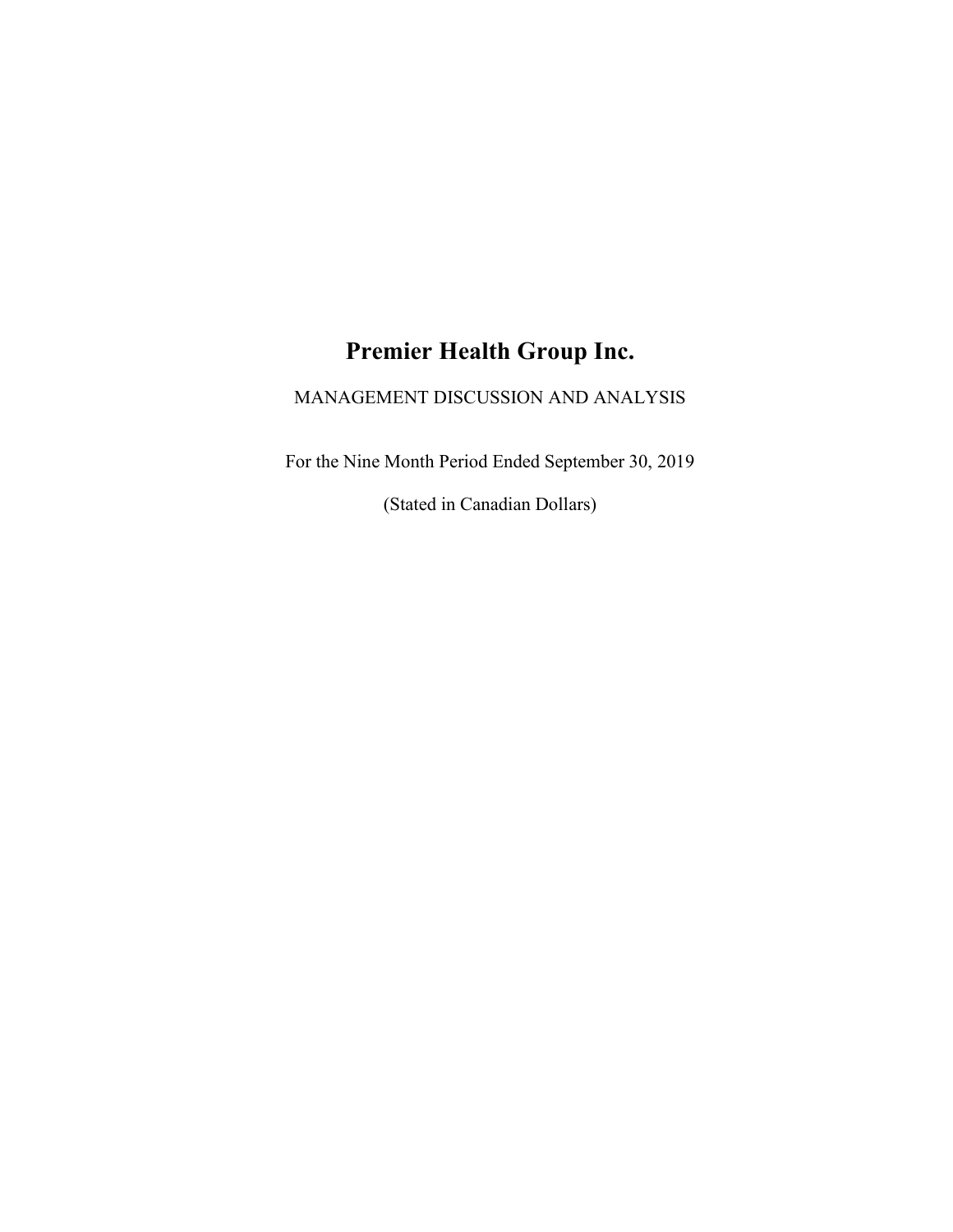# **Premier Health Group Inc.**

MANAGEMENT DISCUSSION AND ANALYSIS

For the Nine Month Period Ended September 30, 2019

(Stated in Canadian Dollars)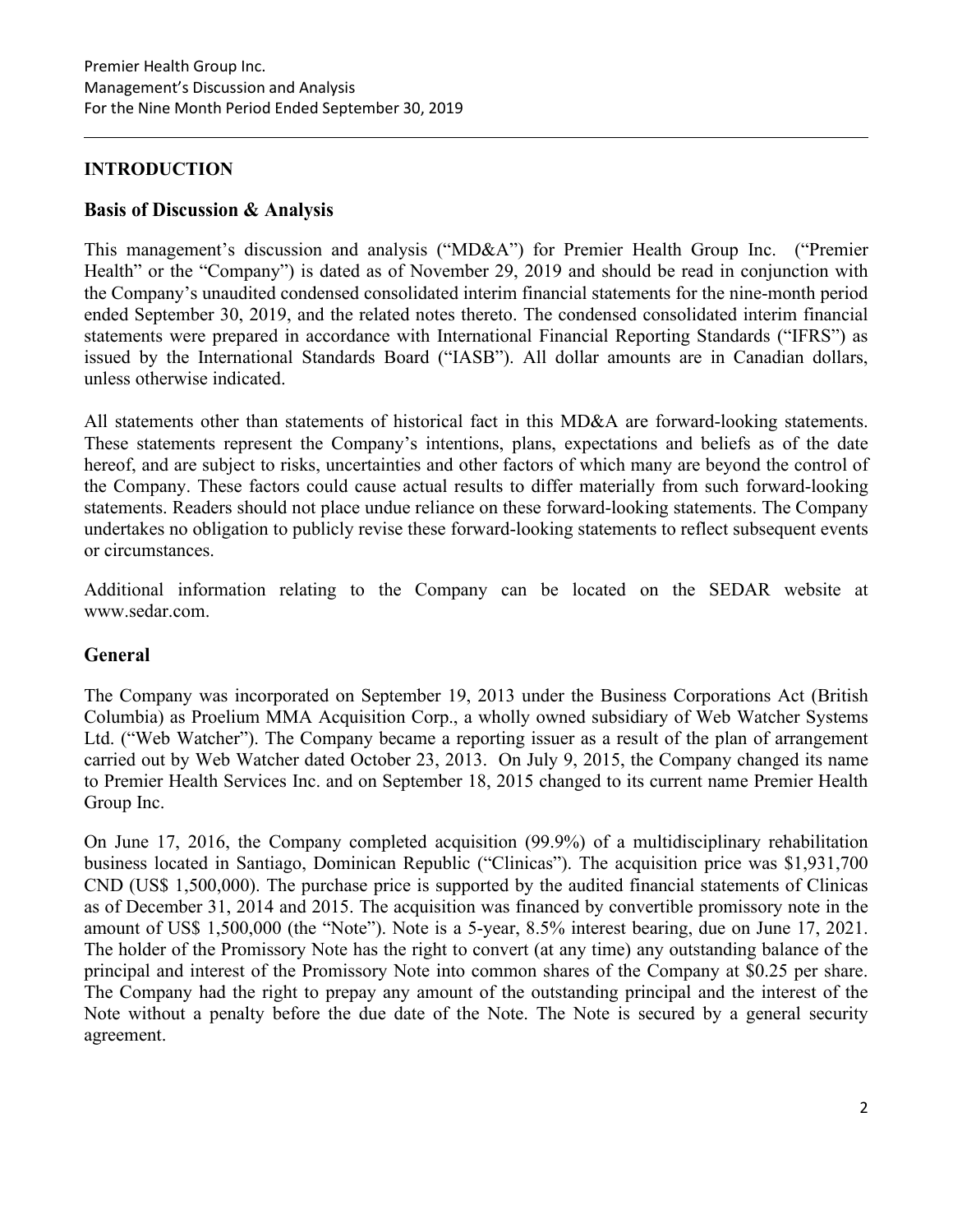# **INTRODUCTION**

# **Basis of Discussion & Analysis**

This management's discussion and analysis ("MD&A") for Premier Health Group Inc. ("Premier Health" or the "Company") is dated as of November 29, 2019 and should be read in conjunction with the Company's unaudited condensed consolidated interim financial statements for the nine-month period ended September 30, 2019, and the related notes thereto. The condensed consolidated interim financial statements were prepared in accordance with International Financial Reporting Standards ("IFRS") as issued by the International Standards Board ("IASB"). All dollar amounts are in Canadian dollars, unless otherwise indicated.

All statements other than statements of historical fact in this MD&A are forward-looking statements. These statements represent the Company's intentions, plans, expectations and beliefs as of the date hereof, and are subject to risks, uncertainties and other factors of which many are beyond the control of the Company. These factors could cause actual results to differ materially from such forward-looking statements. Readers should not place undue reliance on these forward-looking statements. The Company undertakes no obligation to publicly revise these forward-looking statements to reflect subsequent events or circumstances.

Additional information relating to the Company can be located on the SEDAR website at www.sedar.com.

# **General**

The Company was incorporated on September 19, 2013 under the Business Corporations Act (British Columbia) as Proelium MMA Acquisition Corp., a wholly owned subsidiary of Web Watcher Systems Ltd. ("Web Watcher"). The Company became a reporting issuer as a result of the plan of arrangement carried out by Web Watcher dated October 23, 2013. On July 9, 2015, the Company changed its name to Premier Health Services Inc. and on September 18, 2015 changed to its current name Premier Health Group Inc.

On June 17, 2016, the Company completed acquisition (99.9%) of a multidisciplinary rehabilitation business located in Santiago, Dominican Republic ("Clinicas"). The acquisition price was \$1,931,700 CND (US\$ 1,500,000). The purchase price is supported by the audited financial statements of Clinicas as of December 31, 2014 and 2015. The acquisition was financed by convertible promissory note in the amount of US\$ 1,500,000 (the "Note"). Note is a 5-year, 8.5% interest bearing, due on June 17, 2021. The holder of the Promissory Note has the right to convert (at any time) any outstanding balance of the principal and interest of the Promissory Note into common shares of the Company at \$0.25 per share. The Company had the right to prepay any amount of the outstanding principal and the interest of the Note without a penalty before the due date of the Note. The Note is secured by a general security agreement.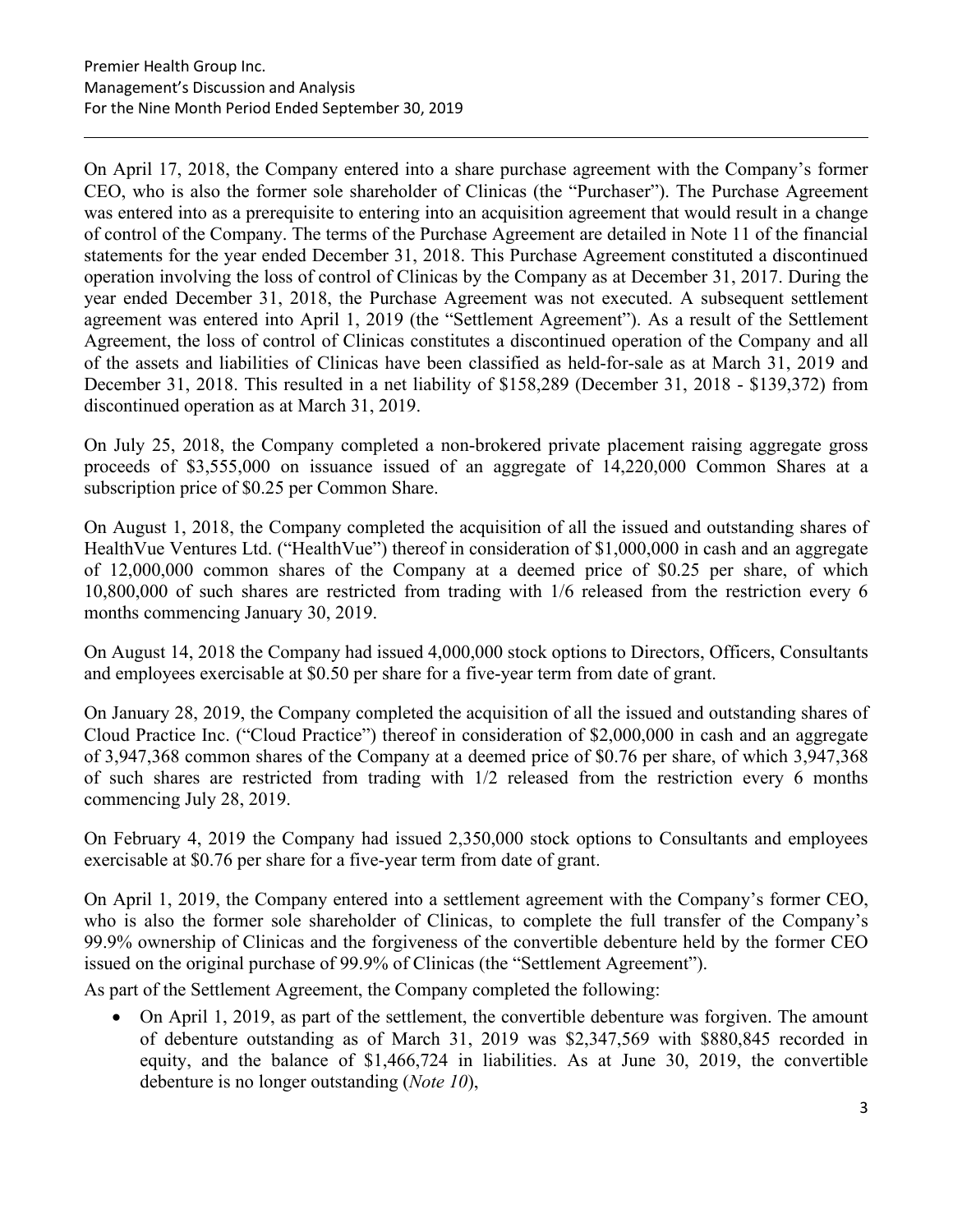On April 17, 2018, the Company entered into a share purchase agreement with the Company's former CEO, who is also the former sole shareholder of Clinicas (the "Purchaser"). The Purchase Agreement was entered into as a prerequisite to entering into an acquisition agreement that would result in a change of control of the Company. The terms of the Purchase Agreement are detailed in Note 11 of the financial statements for the year ended December 31, 2018. This Purchase Agreement constituted a discontinued operation involving the loss of control of Clinicas by the Company as at December 31, 2017. During the year ended December 31, 2018, the Purchase Agreement was not executed. A subsequent settlement agreement was entered into April 1, 2019 (the "Settlement Agreement"). As a result of the Settlement Agreement, the loss of control of Clinicas constitutes a discontinued operation of the Company and all of the assets and liabilities of Clinicas have been classified as held-for-sale as at March 31, 2019 and December 31, 2018. This resulted in a net liability of \$158,289 (December 31, 2018 - \$139,372) from discontinued operation as at March 31, 2019.

On July 25, 2018, the Company completed a non-brokered private placement raising aggregate gross proceeds of \$3,555,000 on issuance issued of an aggregate of 14,220,000 Common Shares at a subscription price of \$0.25 per Common Share.

On August 1, 2018, the Company completed the acquisition of all the issued and outstanding shares of HealthVue Ventures Ltd. ("HealthVue") thereof in consideration of \$1,000,000 in cash and an aggregate of 12,000,000 common shares of the Company at a deemed price of \$0.25 per share, of which 10,800,000 of such shares are restricted from trading with 1/6 released from the restriction every 6 months commencing January 30, 2019.

On August 14, 2018 the Company had issued 4,000,000 stock options to Directors, Officers, Consultants and employees exercisable at \$0.50 per share for a five-year term from date of grant.

On January 28, 2019, the Company completed the acquisition of all the issued and outstanding shares of Cloud Practice Inc. ("Cloud Practice") thereof in consideration of \$2,000,000 in cash and an aggregate of 3,947,368 common shares of the Company at a deemed price of \$0.76 per share, of which 3,947,368 of such shares are restricted from trading with 1/2 released from the restriction every 6 months commencing July 28, 2019.

On February 4, 2019 the Company had issued 2,350,000 stock options to Consultants and employees exercisable at \$0.76 per share for a five-year term from date of grant.

On April 1, 2019, the Company entered into a settlement agreement with the Company's former CEO, who is also the former sole shareholder of Clinicas, to complete the full transfer of the Company's 99.9% ownership of Clinicas and the forgiveness of the convertible debenture held by the former CEO issued on the original purchase of 99.9% of Clinicas (the "Settlement Agreement").

As part of the Settlement Agreement, the Company completed the following:

• On April 1, 2019, as part of the settlement, the convertible debenture was forgiven. The amount of debenture outstanding as of March 31, 2019 was \$2,347,569 with \$880,845 recorded in equity, and the balance of \$1,466,724 in liabilities. As at June 30, 2019, the convertible debenture is no longer outstanding (*Note 10*),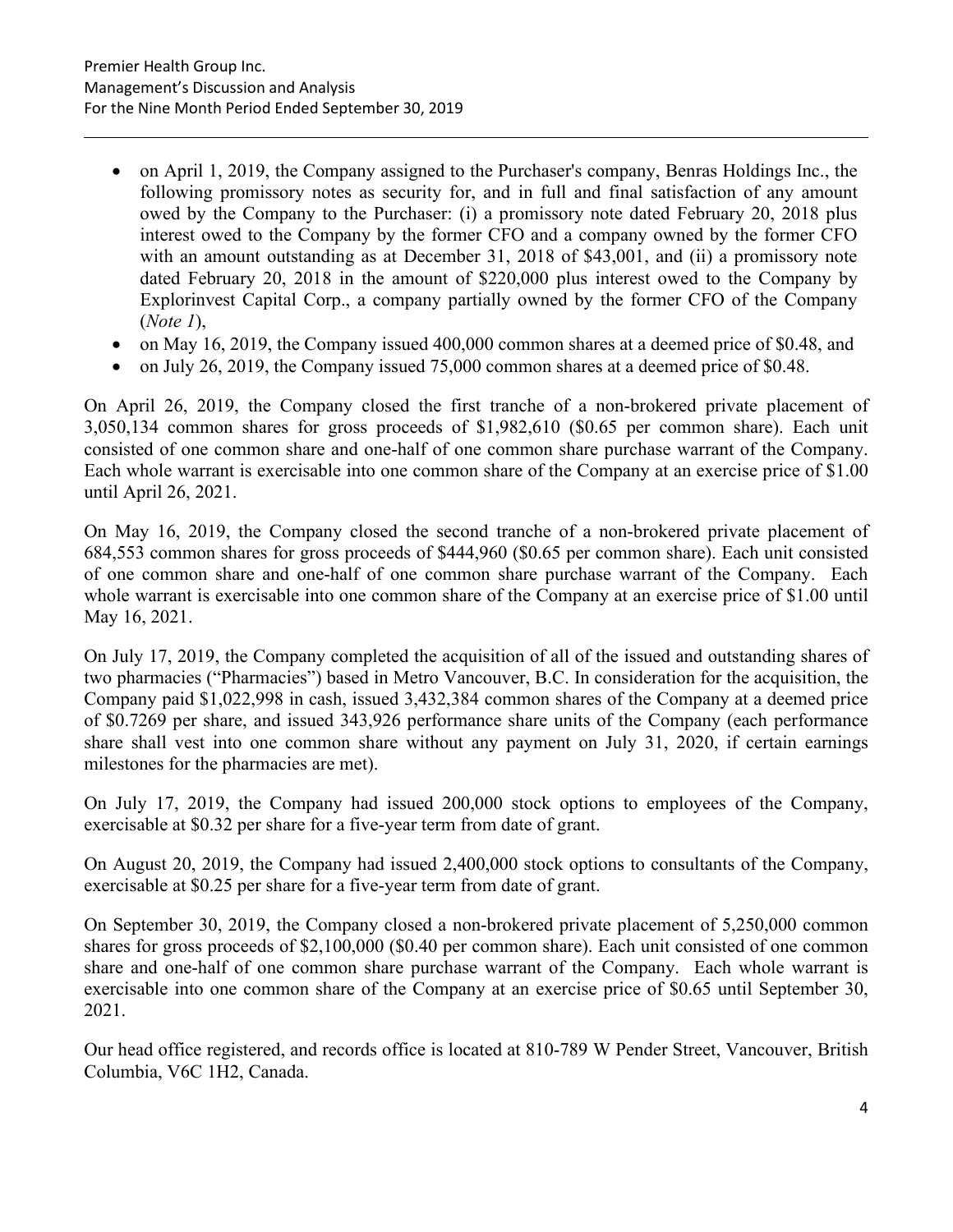- on April 1, 2019, the Company assigned to the Purchaser's company, Benras Holdings Inc., the following promissory notes as security for, and in full and final satisfaction of any amount owed by the Company to the Purchaser: (i) a promissory note dated February 20, 2018 plus interest owed to the Company by the former CFO and a company owned by the former CFO with an amount outstanding as at December 31, 2018 of \$43,001, and (ii) a promissory note dated February 20, 2018 in the amount of \$220,000 plus interest owed to the Company by Explorinvest Capital Corp., a company partially owned by the former CFO of the Company (*Note 1*),
- on May 16, 2019, the Company issued 400,000 common shares at a deemed price of \$0.48, and
- on July 26, 2019, the Company issued 75,000 common shares at a deemed price of \$0.48.

On April 26, 2019, the Company closed the first tranche of a non-brokered private placement of 3,050,134 common shares for gross proceeds of \$1,982,610 (\$0.65 per common share). Each unit consisted of one common share and one-half of one common share purchase warrant of the Company. Each whole warrant is exercisable into one common share of the Company at an exercise price of \$1.00 until April 26, 2021.

On May 16, 2019, the Company closed the second tranche of a non-brokered private placement of 684,553 common shares for gross proceeds of \$444,960 (\$0.65 per common share). Each unit consisted of one common share and one-half of one common share purchase warrant of the Company. Each whole warrant is exercisable into one common share of the Company at an exercise price of \$1.00 until May 16, 2021.

On July 17, 2019, the Company completed the acquisition of all of the issued and outstanding shares of two pharmacies ("Pharmacies") based in Metro Vancouver, B.C. In consideration for the acquisition, the Company paid \$1,022,998 in cash, issued 3,432,384 common shares of the Company at a deemed price of \$0.7269 per share, and issued 343,926 performance share units of the Company (each performance share shall vest into one common share without any payment on July 31, 2020, if certain earnings milestones for the pharmacies are met).

On July 17, 2019, the Company had issued 200,000 stock options to employees of the Company, exercisable at \$0.32 per share for a five-year term from date of grant.

On August 20, 2019, the Company had issued 2,400,000 stock options to consultants of the Company, exercisable at \$0.25 per share for a five-year term from date of grant.

On September 30, 2019, the Company closed a non-brokered private placement of 5,250,000 common shares for gross proceeds of \$2,100,000 (\$0.40 per common share). Each unit consisted of one common share and one-half of one common share purchase warrant of the Company. Each whole warrant is exercisable into one common share of the Company at an exercise price of \$0.65 until September 30, 2021.

Our head office registered, and records office is located at 810-789 W Pender Street, Vancouver, British Columbia, V6C 1H2, Canada.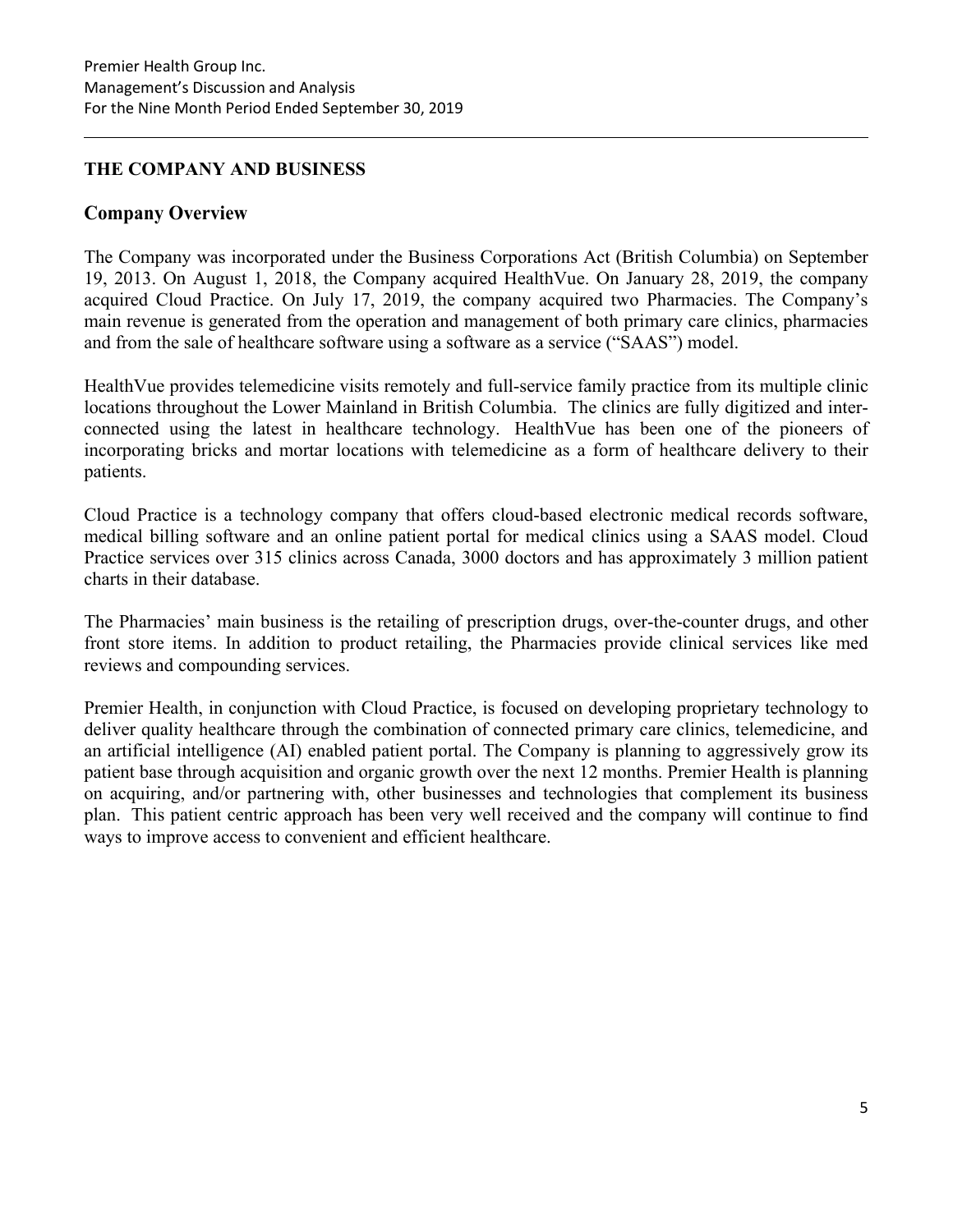# **THE COMPANY AND BUSINESS**

# **Company Overview**

The Company was incorporated under the Business Corporations Act (British Columbia) on September 19, 2013. On August 1, 2018, the Company acquired HealthVue. On January 28, 2019, the company acquired Cloud Practice. On July 17, 2019, the company acquired two Pharmacies. The Company's main revenue is generated from the operation and management of both primary care clinics, pharmacies and from the sale of healthcare software using a software as a service ("SAAS") model.

HealthVue provides telemedicine visits remotely and full-service family practice from its multiple clinic locations throughout the Lower Mainland in British Columbia. The clinics are fully digitized and interconnected using the latest in healthcare technology. HealthVue has been one of the pioneers of incorporating bricks and mortar locations with telemedicine as a form of healthcare delivery to their patients.

Cloud Practice is a technology company that offers cloud-based electronic medical records software, medical billing software and an online patient portal for medical clinics using a SAAS model. Cloud Practice services over 315 clinics across Canada, 3000 doctors and has approximately 3 million patient charts in their database.

The Pharmacies' main business is the retailing of prescription drugs, over-the-counter drugs, and other front store items. In addition to product retailing, the Pharmacies provide clinical services like med reviews and compounding services.

Premier Health, in conjunction with Cloud Practice, is focused on developing proprietary technology to deliver quality healthcare through the combination of connected primary care clinics, telemedicine, and an artificial intelligence (AI) enabled patient portal. The Company is planning to aggressively grow its patient base through acquisition and organic growth over the next 12 months. Premier Health is planning on acquiring, and/or partnering with, other businesses and technologies that complement its business plan. This patient centric approach has been very well received and the company will continue to find ways to improve access to convenient and efficient healthcare.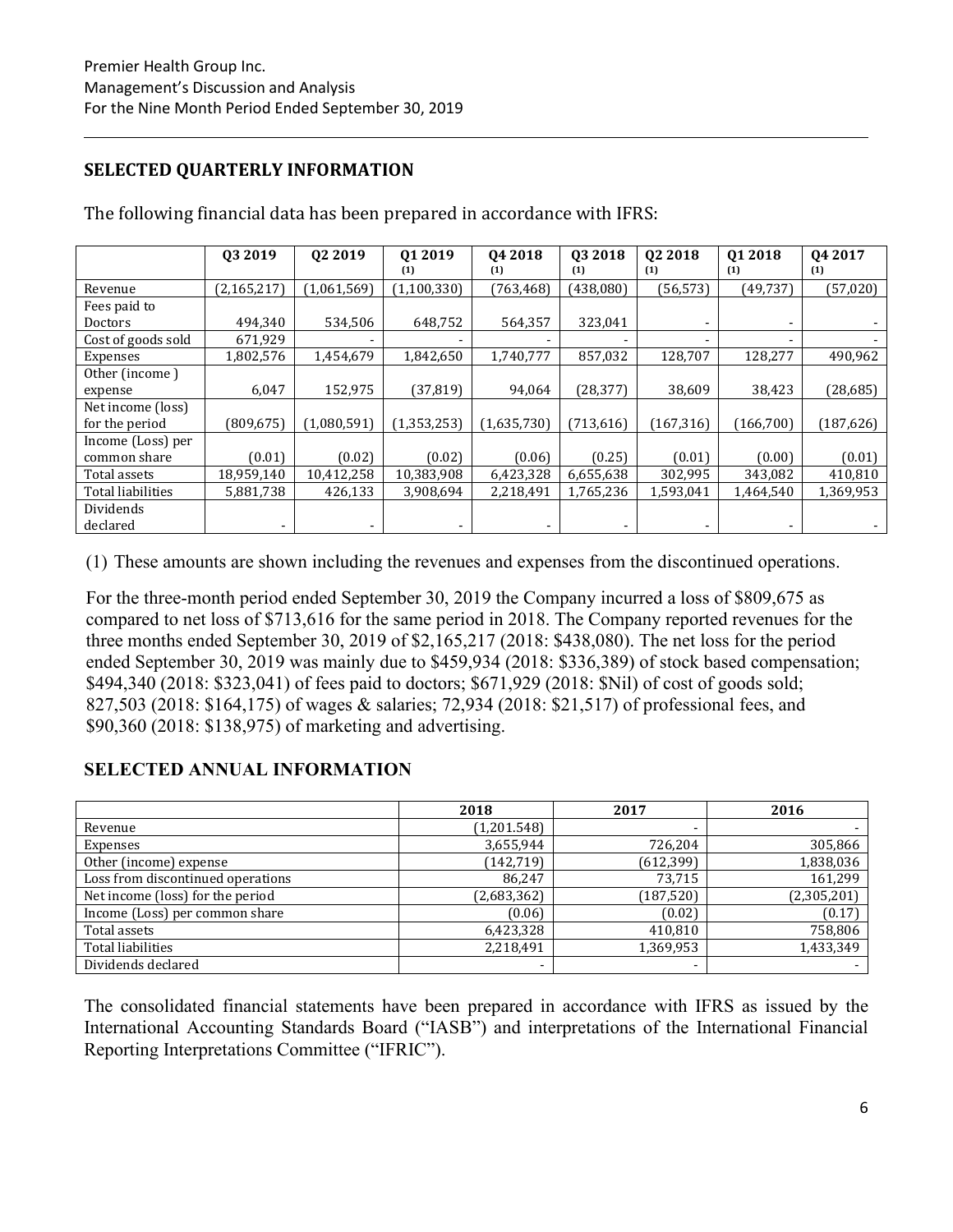# **SELECTED QUARTERLY INFORMATION**

|                          | 03 2019       | Q2 2019     | Q1 2019     | 04 2018     | 03 2018    | 02 2018                  | Q1 2018    | 04 2017    |
|--------------------------|---------------|-------------|-------------|-------------|------------|--------------------------|------------|------------|
|                          |               |             | (1)         | (1)         | (1)        | (1)                      | (1)        | (1)        |
| Revenue                  | (2, 165, 217) | (1,061,569) | (1,100,330) | (763, 468)  | (438,080)  | (56, 573)                | (49,737    | (57, 020)  |
| Fees paid to             |               |             |             |             |            |                          |            |            |
| Doctors                  | 494,340       | 534,506     | 648,752     | 564,357     | 323,041    | -                        | ۰          |            |
| Cost of goods sold       | 671,929       |             |             |             |            | $\overline{\phantom{a}}$ |            |            |
| Expenses                 | 1,802,576     | 1,454,679   | 1,842,650   | 1,740,777   | 857,032    | 128,707                  | 128,277    | 490,962    |
| Other (income)           |               |             |             |             |            |                          |            |            |
| expense                  | 6,047         | 152,975     | (37, 819)   | 94,064      | (28, 377)  | 38,609                   | 38,423     | (28, 685)  |
| Net income (loss)        |               |             |             |             |            |                          |            |            |
| for the period           | (809, 675)    | (1,080,591) | (1,353,253) | (1,635,730) | (713, 616) | (167, 316)               | (166, 700) | (187, 626) |
| Income (Loss) per        |               |             |             |             |            |                          |            |            |
| common share             | (0.01)        | (0.02)      | (0.02)      | (0.06)      | (0.25)     | (0.01)                   | (0.00)     | (0.01)     |
| Total assets             | 18,959,140    | 10,412,258  | 10,383,908  | 6,423,328   | 6,655,638  | 302,995                  | 343,082    | 410,810    |
| <b>Total liabilities</b> | 5,881,738     | 426,133     | 3,908,694   | 2,218,491   | 1,765,236  | 1,593,041                | 1,464,540  | 1,369,953  |
| Dividends                |               |             |             |             |            |                          |            |            |
| declared                 |               |             |             |             |            |                          |            |            |

The following financial data has been prepared in accordance with IFRS:

(1) These amounts are shown including the revenues and expenses from the discontinued operations.

For the three-month period ended September 30, 2019 the Company incurred a loss of \$809,675 as compared to net loss of \$713,616 for the same period in 2018. The Company reported revenues for the three months ended September 30, 2019 of \$2,165,217 (2018: \$438,080). The net loss for the period ended September 30, 2019 was mainly due to \$459,934 (2018: \$336,389) of stock based compensation; \$494,340 (2018: \$323,041) of fees paid to doctors; \$671,929 (2018: \$Nil) of cost of goods sold; 827,503 (2018: \$164,175) of wages & salaries; 72,934 (2018: \$21,517) of professional fees, and \$90,360 (2018: \$138,975) of marketing and advertising.

# **SELECTED ANNUAL INFORMATION**

|                                   | 2018        | 2017                     | 2016        |
|-----------------------------------|-------------|--------------------------|-------------|
| Revenue                           | (1,201.548) | $\overline{\phantom{0}}$ |             |
| Expenses                          | 3,655,944   | 726,204                  | 305,866     |
| Other (income) expense            | (142, 719)  | (612, 399)               | 1,838,036   |
| Loss from discontinued operations | 86.247      | 73,715                   | 161,299     |
| Net income (loss) for the period  | (2,683,362) | (187, 520)               | (2,305,201) |
| Income (Loss) per common share    | (0.06)      | (0.02)                   | (0.17)      |
| Total assets                      | 6,423,328   | 410,810                  | 758,806     |
| Total liabilities                 | 2,218,491   | 1,369,953                | 1,433,349   |
| Dividends declared                |             | $\overline{\phantom{a}}$ |             |

The consolidated financial statements have been prepared in accordance with IFRS as issued by the International Accounting Standards Board ("IASB") and interpretations of the International Financial Reporting Interpretations Committee ("IFRIC").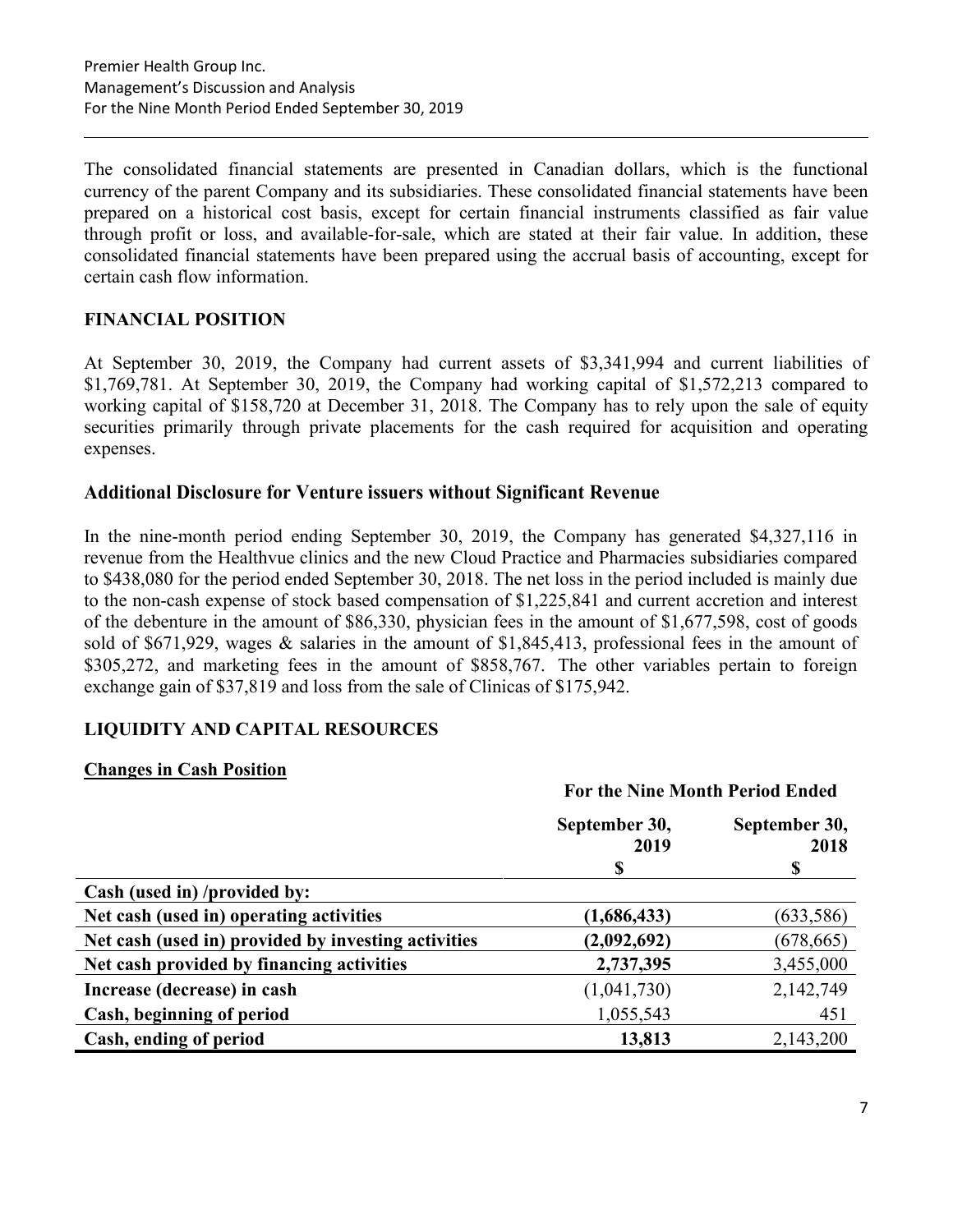The consolidated financial statements are presented in Canadian dollars, which is the functional currency of the parent Company and its subsidiaries. These consolidated financial statements have been prepared on a historical cost basis, except for certain financial instruments classified as fair value through profit or loss, and available-for-sale, which are stated at their fair value. In addition, these consolidated financial statements have been prepared using the accrual basis of accounting, except for certain cash flow information.

# **FINANCIAL POSITION**

At September 30, 2019, the Company had current assets of \$3,341,994 and current liabilities of \$1,769,781. At September 30, 2019, the Company had working capital of \$1,572,213 compared to working capital of \$158,720 at December 31, 2018. The Company has to rely upon the sale of equity securities primarily through private placements for the cash required for acquisition and operating expenses.

# **Additional Disclosure for Venture issuers without Significant Revenue**

In the nine-month period ending September 30, 2019, the Company has generated \$4,327,116 in revenue from the Healthvue clinics and the new Cloud Practice and Pharmacies subsidiaries compared to \$438,080 for the period ended September 30, 2018. The net loss in the period included is mainly due to the non-cash expense of stock based compensation of \$1,225,841 and current accretion and interest of the debenture in the amount of \$86,330, physician fees in the amount of \$1,677,598, cost of goods sold of \$671,929, wages & salaries in the amount of \$1,845,413, professional fees in the amount of \$305,272, and marketing fees in the amount of \$858,767. The other variables pertain to foreign exchange gain of \$37,819 and loss from the sale of Clinicas of \$175,942.

# **LIQUIDITY AND CAPITAL RESOURCES**

# **Changes in Cash Position**

|                                                     | <b>For the Nine Month Period Ended</b> |            |
|-----------------------------------------------------|----------------------------------------|------------|
|                                                     | September 30,<br>September 30,<br>2019 |            |
|                                                     | \$                                     | \$         |
| Cash (used in) /provided by:                        |                                        |            |
| Net cash (used in) operating activities             | (1,686,433)                            | (633, 586) |
| Net cash (used in) provided by investing activities | (2,092,692)                            | (678, 665) |
| Net cash provided by financing activities           | 2,737,395                              | 3,455,000  |
| Increase (decrease) in cash                         | (1,041,730)                            | 2,142,749  |
| Cash, beginning of period                           | 1,055,543                              | 451        |
| Cash, ending of period                              | 13,813                                 | 2,143,200  |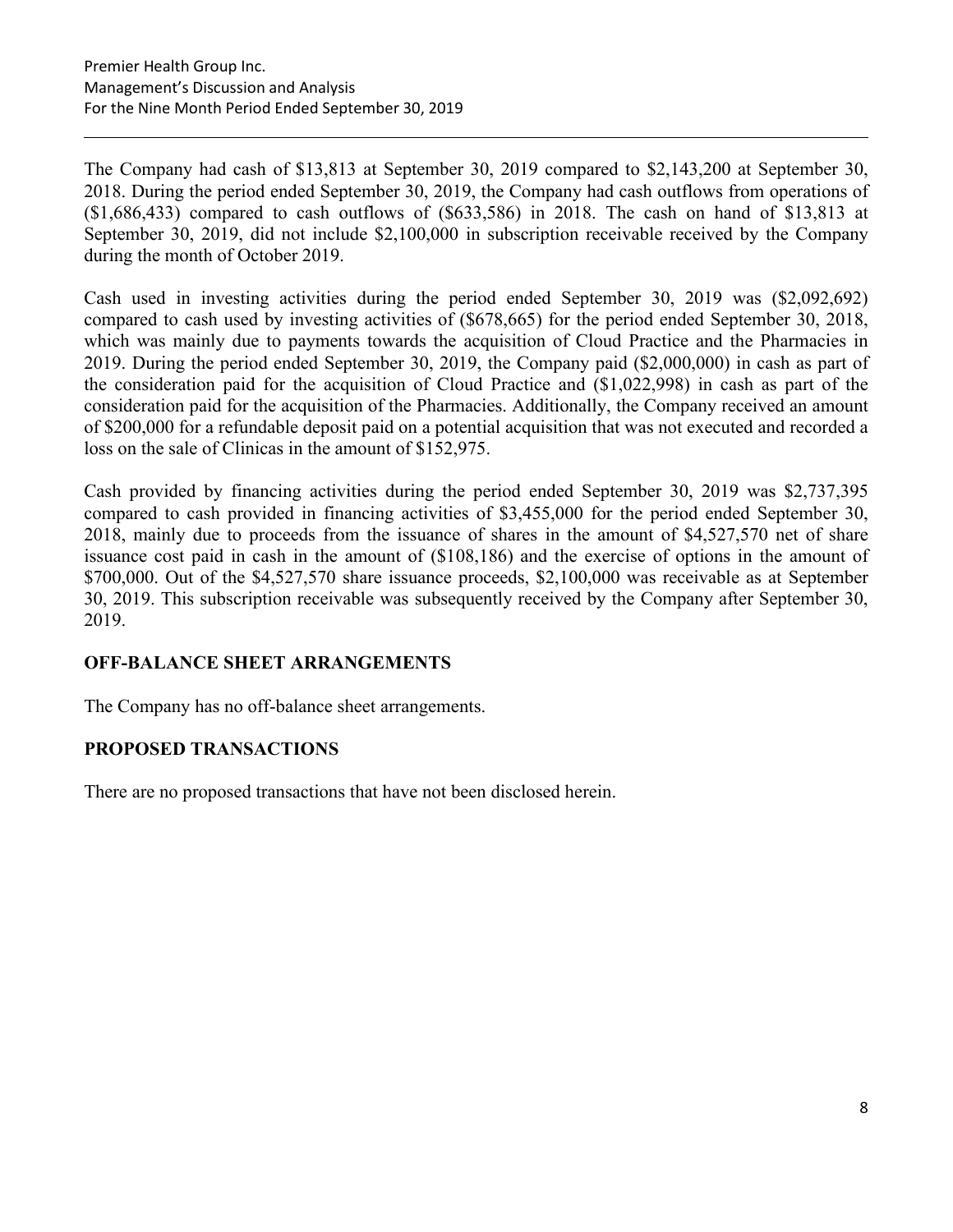The Company had cash of \$13,813 at September 30, 2019 compared to \$2,143,200 at September 30, 2018. During the period ended September 30, 2019, the Company had cash outflows from operations of (\$1,686,433) compared to cash outflows of (\$633,586) in 2018. The cash on hand of \$13,813 at September 30, 2019, did not include \$2,100,000 in subscription receivable received by the Company during the month of October 2019.

Cash used in investing activities during the period ended September 30, 2019 was (\$2,092,692) compared to cash used by investing activities of (\$678,665) for the period ended September 30, 2018, which was mainly due to payments towards the acquisition of Cloud Practice and the Pharmacies in 2019. During the period ended September 30, 2019, the Company paid (\$2,000,000) in cash as part of the consideration paid for the acquisition of Cloud Practice and (\$1,022,998) in cash as part of the consideration paid for the acquisition of the Pharmacies. Additionally, the Company received an amount of \$200,000 for a refundable deposit paid on a potential acquisition that was not executed and recorded a loss on the sale of Clinicas in the amount of \$152,975.

Cash provided by financing activities during the period ended September 30, 2019 was \$2,737,395 compared to cash provided in financing activities of \$3,455,000 for the period ended September 30, 2018, mainly due to proceeds from the issuance of shares in the amount of \$4,527,570 net of share issuance cost paid in cash in the amount of (\$108,186) and the exercise of options in the amount of \$700,000. Out of the \$4,527,570 share issuance proceeds, \$2,100,000 was receivable as at September 30, 2019. This subscription receivable was subsequently received by the Company after September 30, 2019.

# **OFF-BALANCE SHEET ARRANGEMENTS**

The Company has no off-balance sheet arrangements.

# **PROPOSED TRANSACTIONS**

There are no proposed transactions that have not been disclosed herein.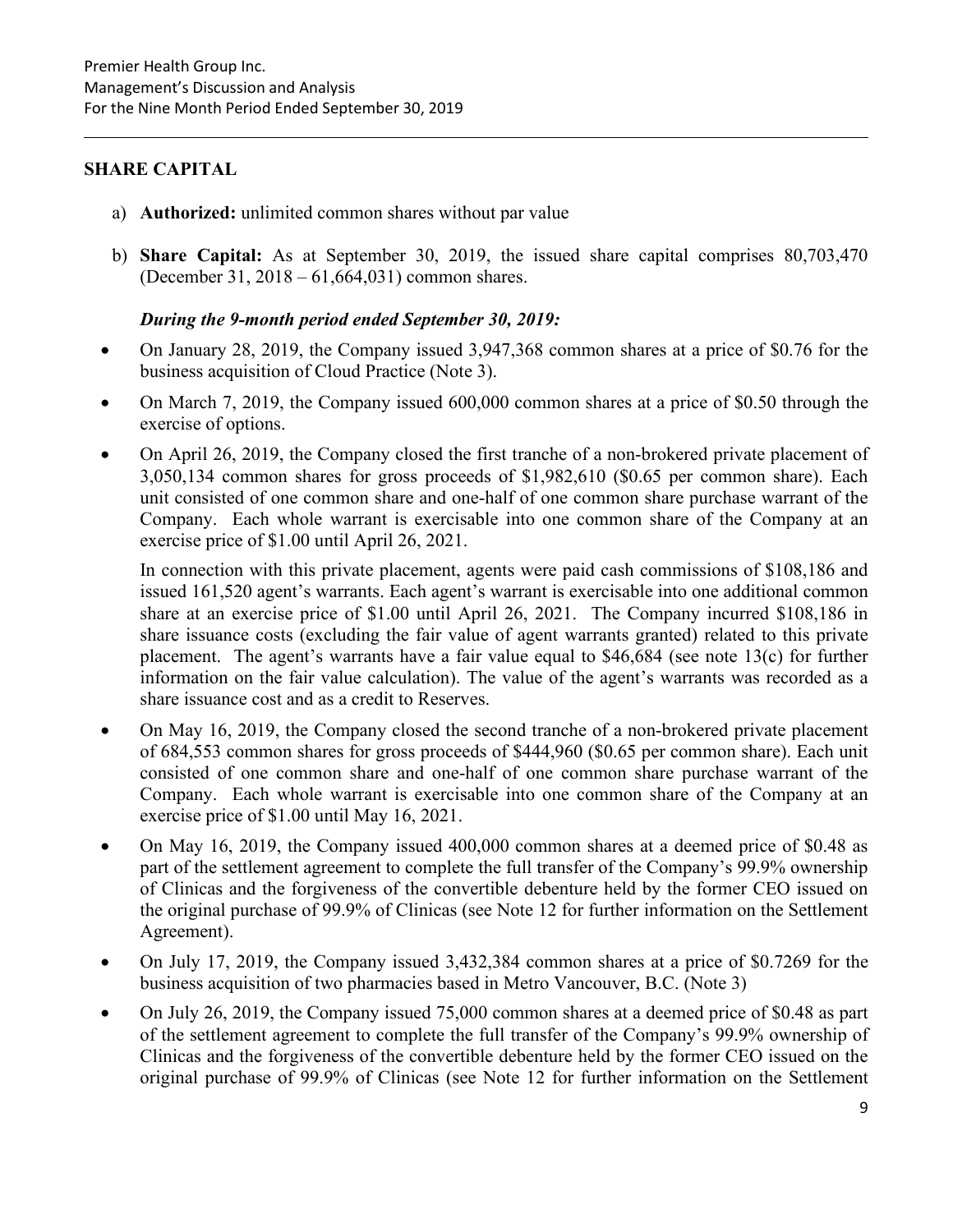# **SHARE CAPITAL**

- a) **Authorized:** unlimited common shares without par value
- b) **Share Capital:** As at September 30, 2019, the issued share capital comprises 80,703,470 (December 31, 2018 – 61,664,031) common shares.

# *During the 9-month period ended September 30, 2019:*

- On January 28, 2019, the Company issued 3,947,368 common shares at a price of \$0.76 for the business acquisition of Cloud Practice (Note 3).
- On March 7, 2019, the Company issued 600,000 common shares at a price of \$0.50 through the exercise of options.
- On April 26, 2019, the Company closed the first tranche of a non-brokered private placement of 3,050,134 common shares for gross proceeds of \$1,982,610 (\$0.65 per common share). Each unit consisted of one common share and one-half of one common share purchase warrant of the Company. Each whole warrant is exercisable into one common share of the Company at an exercise price of \$1.00 until April 26, 2021.

In connection with this private placement, agents were paid cash commissions of \$108,186 and issued 161,520 agent's warrants. Each agent's warrant is exercisable into one additional common share at an exercise price of \$1.00 until April 26, 2021. The Company incurred \$108,186 in share issuance costs (excluding the fair value of agent warrants granted) related to this private placement. The agent's warrants have a fair value equal to \$46,684 (see note 13(c) for further information on the fair value calculation). The value of the agent's warrants was recorded as a share issuance cost and as a credit to Reserves.

- On May 16, 2019, the Company closed the second tranche of a non-brokered private placement of 684,553 common shares for gross proceeds of \$444,960 (\$0.65 per common share). Each unit consisted of one common share and one-half of one common share purchase warrant of the Company. Each whole warrant is exercisable into one common share of the Company at an exercise price of \$1.00 until May 16, 2021.
- On May 16, 2019, the Company issued 400,000 common shares at a deemed price of \$0.48 as part of the settlement agreement to complete the full transfer of the Company's 99.9% ownership of Clinicas and the forgiveness of the convertible debenture held by the former CEO issued on the original purchase of 99.9% of Clinicas (see Note 12 for further information on the Settlement Agreement).
- On July 17, 2019, the Company issued 3,432,384 common shares at a price of \$0.7269 for the business acquisition of two pharmacies based in Metro Vancouver, B.C. (Note 3)
- On July 26, 2019, the Company issued 75,000 common shares at a deemed price of \$0.48 as part of the settlement agreement to complete the full transfer of the Company's 99.9% ownership of Clinicas and the forgiveness of the convertible debenture held by the former CEO issued on the original purchase of 99.9% of Clinicas (see Note 12 for further information on the Settlement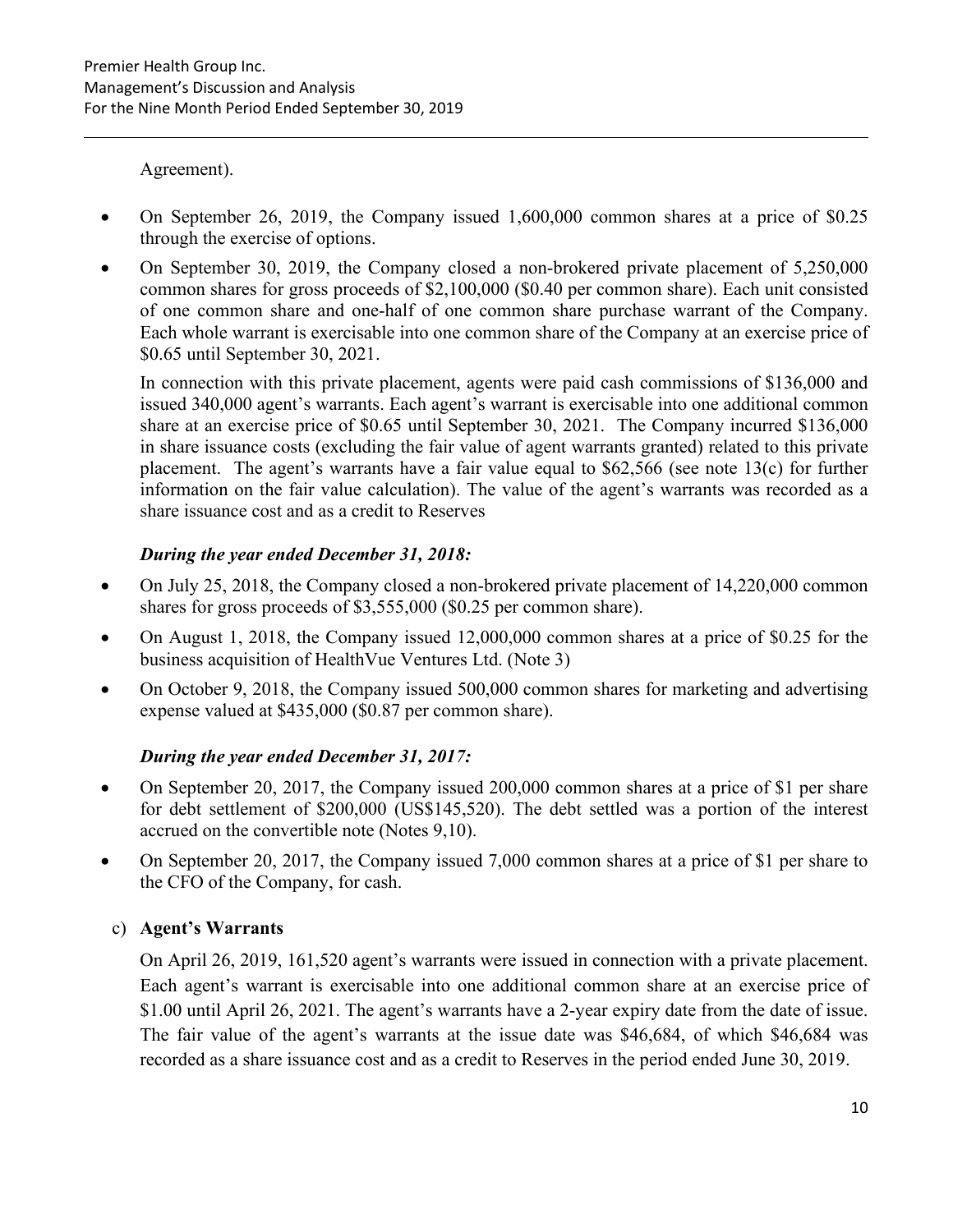Agreement).

- On September 26, 2019, the Company issued 1,600,000 common shares at a price of \$0.25 through the exercise of options.
- On September 30, 2019, the Company closed a non-brokered private placement of 5,250,000 common shares for gross proceeds of \$2,100,000 (\$0.40 per common share). Each unit consisted of one common share and one-half of one common share purchase warrant of the Company. Each whole warrant is exercisable into one common share of the Company at an exercise price of \$0.65 until September 30, 2021.

In connection with this private placement, agents were paid cash commissions of \$136,000 and issued 340,000 agent's warrants. Each agent's warrant is exercisable into one additional common share at an exercise price of \$0.65 until September 30, 2021. The Company incurred \$136,000 in share issuance costs (excluding the fair value of agent warrants granted) related to this private placement. The agent's warrants have a fair value equal to \$62,566 (see note 13(c) for further information on the fair value calculation). The value of the agent's warrants was recorded as a share issuance cost and as a credit to Reserves

# *During the year ended December 31, 2018:*

- On July 25, 2018, the Company closed a non-brokered private placement of 14,220,000 common shares for gross proceeds of \$3,555,000 (\$0.25 per common share).
- On August 1, 2018, the Company issued 12,000,000 common shares at a price of \$0.25 for the business acquisition of HealthVue Ventures Ltd. (Note 3)
- On October 9, 2018, the Company issued 500,000 common shares for marketing and advertising expense valued at \$435,000 (\$0.87 per common share).

# *During the year ended December 31, 2017:*

- On September 20, 2017, the Company issued 200,000 common shares at a price of \$1 per share for debt settlement of \$200,000 (US\$145,520). The debt settled was a portion of the interest accrued on the convertible note (Notes 9,10).
- On September 20, 2017, the Company issued 7,000 common shares at a price of \$1 per share to the CFO of the Company, for cash.

# c) **Agent's Warrants**

On April 26, 2019, 161,520 agent's warrants were issued in connection with a private placement. Each agent's warrant is exercisable into one additional common share at an exercise price of \$1.00 until April 26, 2021. The agent's warrants have a 2-year expiry date from the date of issue. The fair value of the agent's warrants at the issue date was \$46,684, of which \$46,684 was recorded as a share issuance cost and as a credit to Reserves in the period ended June 30, 2019.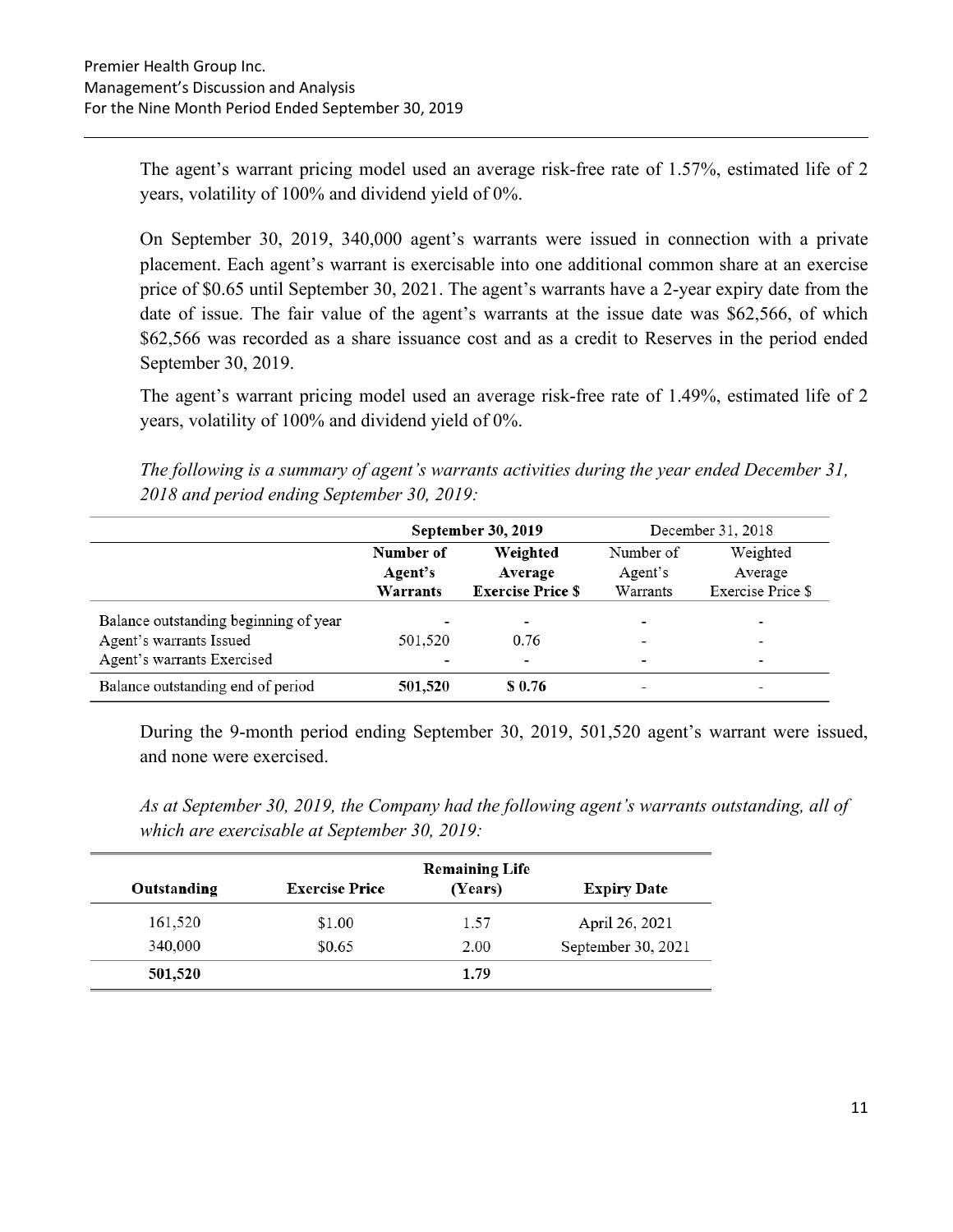The agent's warrant pricing model used an average risk-free rate of 1.57%, estimated life of 2 years, volatility of 100% and dividend yield of 0%.

On September 30, 2019, 340,000 agent's warrants were issued in connection with a private placement. Each agent's warrant is exercisable into one additional common share at an exercise price of \$0.65 until September 30, 2021. The agent's warrants have a 2-year expiry date from the date of issue. The fair value of the agent's warrants at the issue date was \$62,566, of which \$62,566 was recorded as a share issuance cost and as a credit to Reserves in the period ended September 30, 2019.

The agent's warrant pricing model used an average risk-free rate of 1.49%, estimated life of 2 years, volatility of 100% and dividend yield of 0%.

*The following is a summary of agent's warrants activities during the year ended December 31, 2018 and period ending September 30, 2019:* 

|                                       |                                  | September 30, 2019                              | December 31, 2018                |                                          |  |
|---------------------------------------|----------------------------------|-------------------------------------------------|----------------------------------|------------------------------------------|--|
|                                       | Number of<br>Agent's<br>Warrants | Weighted<br>Average<br><b>Exercise Price \$</b> | Number of<br>Agent's<br>Warrants | Weighted<br>Average<br>Exercise Price \$ |  |
| Balance outstanding beginning of year |                                  |                                                 |                                  |                                          |  |
| Agent's warrants Issued               | 501,520                          | 0.76                                            |                                  | -                                        |  |
| Agent's warrants Exercised            |                                  |                                                 |                                  | -                                        |  |
| Balance outstanding end of period     | 501,520                          | \$ 0.76                                         |                                  | -                                        |  |

During the 9-month period ending September 30, 2019, 501,520 agent's warrant were issued, and none were exercised.

*As at September 30, 2019, the Company had the following agent's warrants outstanding, all of which are exercisable at September 30, 2019:* 

|             |                       | <b>Remaining Life</b> |                    |
|-------------|-----------------------|-----------------------|--------------------|
| Outstanding | <b>Exercise Price</b> | (Years)               | <b>Expiry Date</b> |
| 161,520     | \$1.00                | 1.57                  | April 26, 2021     |
| 340,000     | \$0.65                | 2.00                  | September 30, 2021 |
| 501,520     |                       | 1.79                  |                    |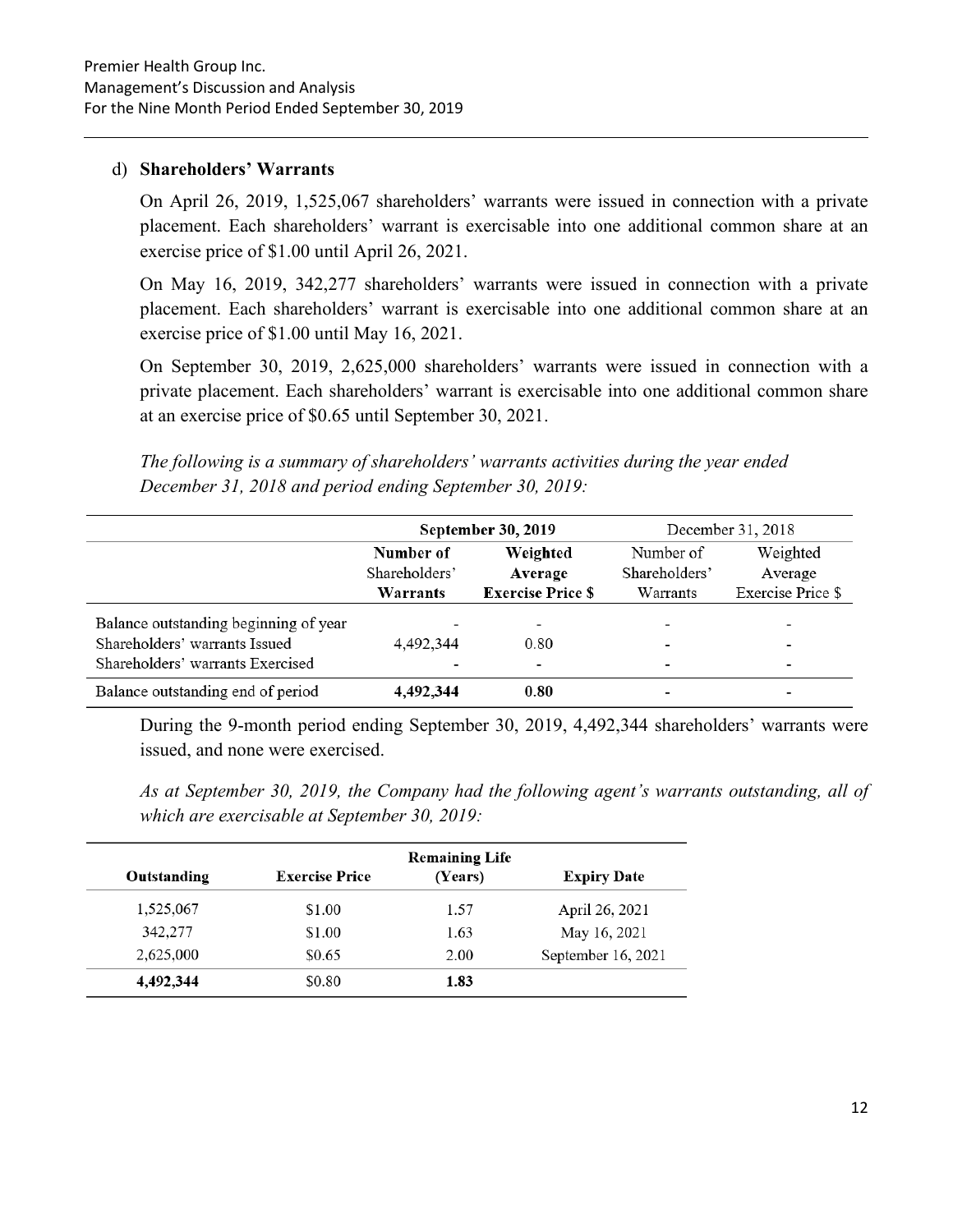#### d) **Shareholders' Warrants**

On April 26, 2019, 1,525,067 shareholders' warrants were issued in connection with a private placement. Each shareholders' warrant is exercisable into one additional common share at an exercise price of \$1.00 until April 26, 2021.

On May 16, 2019, 342,277 shareholders' warrants were issued in connection with a private placement. Each shareholders' warrant is exercisable into one additional common share at an exercise price of \$1.00 until May 16, 2021.

On September 30, 2019, 2,625,000 shareholders' warrants were issued in connection with a private placement. Each shareholders' warrant is exercisable into one additional common share at an exercise price of \$0.65 until September 30, 2021.

*The following is a summary of shareholders' warrants activities during the year ended December 31, 2018 and period ending September 30, 2019:* 

|                                       |                            | September 30, 2019       |                          | December 31, 2018        |
|---------------------------------------|----------------------------|--------------------------|--------------------------|--------------------------|
|                                       | Number of<br>Shareholders' | Weighted<br>Average      |                          | Weighted<br>Average      |
|                                       | Warrants                   | <b>Exercise Price \$</b> | Warrants                 | Exercise Price \$        |
| Balance outstanding beginning of year |                            | $\overline{\phantom{a}}$ | $\overline{\phantom{0}}$ | $\overline{\phantom{a}}$ |
| Shareholders' warrants Issued         | 4,492,344                  | 0.80                     | ٠                        | ۰                        |
| Shareholders' warrants Exercised      |                            | -                        | $\overline{\phantom{a}}$ | $\overline{\phantom{0}}$ |
| Balance outstanding end of period     | 4,492,344                  | 0.80                     |                          |                          |

During the 9-month period ending September 30, 2019, 4,492,344 shareholders' warrants were issued, and none were exercised.

*As at September 30, 2019, the Company had the following agent's warrants outstanding, all of which are exercisable at September 30, 2019:* 

|             |                       | <b>Remaining Life</b> |                    |
|-------------|-----------------------|-----------------------|--------------------|
| Outstanding | <b>Exercise Price</b> | (Years)               | <b>Expiry Date</b> |
| 1,525,067   | \$1.00                | 1.57                  | April 26, 2021     |
| 342,277     | \$1.00                | 1.63                  | May 16, 2021       |
| 2,625,000   | \$0.65                | 2.00                  | September 16, 2021 |
| 4,492,344   | \$0.80                | 1.83                  |                    |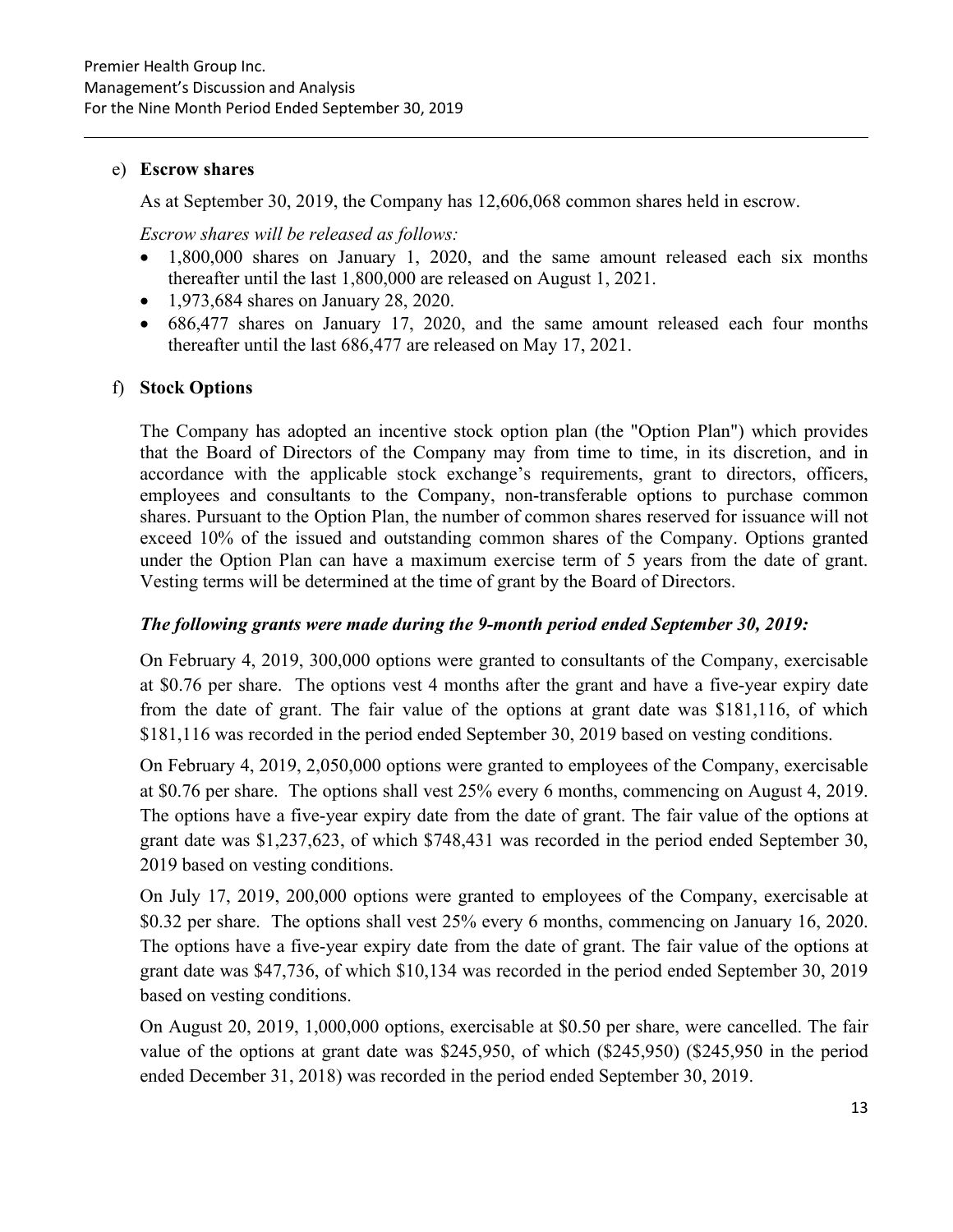#### e) **Escrow shares**

As at September 30, 2019, the Company has 12,606,068 common shares held in escrow.

*Escrow shares will be released as follows:* 

- 1,800,000 shares on January 1, 2020, and the same amount released each six months thereafter until the last 1,800,000 are released on August 1, 2021.
- 1,973,684 shares on January 28, 2020.
- 686,477 shares on January 17, 2020, and the same amount released each four months thereafter until the last 686,477 are released on May 17, 2021.

# f) **Stock Options**

The Company has adopted an incentive stock option plan (the "Option Plan") which provides that the Board of Directors of the Company may from time to time, in its discretion, and in accordance with the applicable stock exchange's requirements, grant to directors, officers, employees and consultants to the Company, non-transferable options to purchase common shares. Pursuant to the Option Plan, the number of common shares reserved for issuance will not exceed 10% of the issued and outstanding common shares of the Company. Options granted under the Option Plan can have a maximum exercise term of 5 years from the date of grant. Vesting terms will be determined at the time of grant by the Board of Directors.

# *The following grants were made during the 9-month period ended September 30, 2019:*

On February 4, 2019, 300,000 options were granted to consultants of the Company, exercisable at \$0.76 per share. The options vest 4 months after the grant and have a five-year expiry date from the date of grant. The fair value of the options at grant date was \$181,116, of which \$181,116 was recorded in the period ended September 30, 2019 based on vesting conditions.

On February 4, 2019, 2,050,000 options were granted to employees of the Company, exercisable at \$0.76 per share. The options shall vest 25% every 6 months, commencing on August 4, 2019. The options have a five-year expiry date from the date of grant. The fair value of the options at grant date was \$1,237,623, of which \$748,431 was recorded in the period ended September 30, 2019 based on vesting conditions.

On July 17, 2019, 200,000 options were granted to employees of the Company, exercisable at \$0.32 per share. The options shall vest 25% every 6 months, commencing on January 16, 2020. The options have a five-year expiry date from the date of grant. The fair value of the options at grant date was \$47,736, of which \$10,134 was recorded in the period ended September 30, 2019 based on vesting conditions.

On August 20, 2019, 1,000,000 options, exercisable at \$0.50 per share, were cancelled. The fair value of the options at grant date was \$245,950, of which (\$245,950) (\$245,950 in the period ended December 31, 2018) was recorded in the period ended September 30, 2019.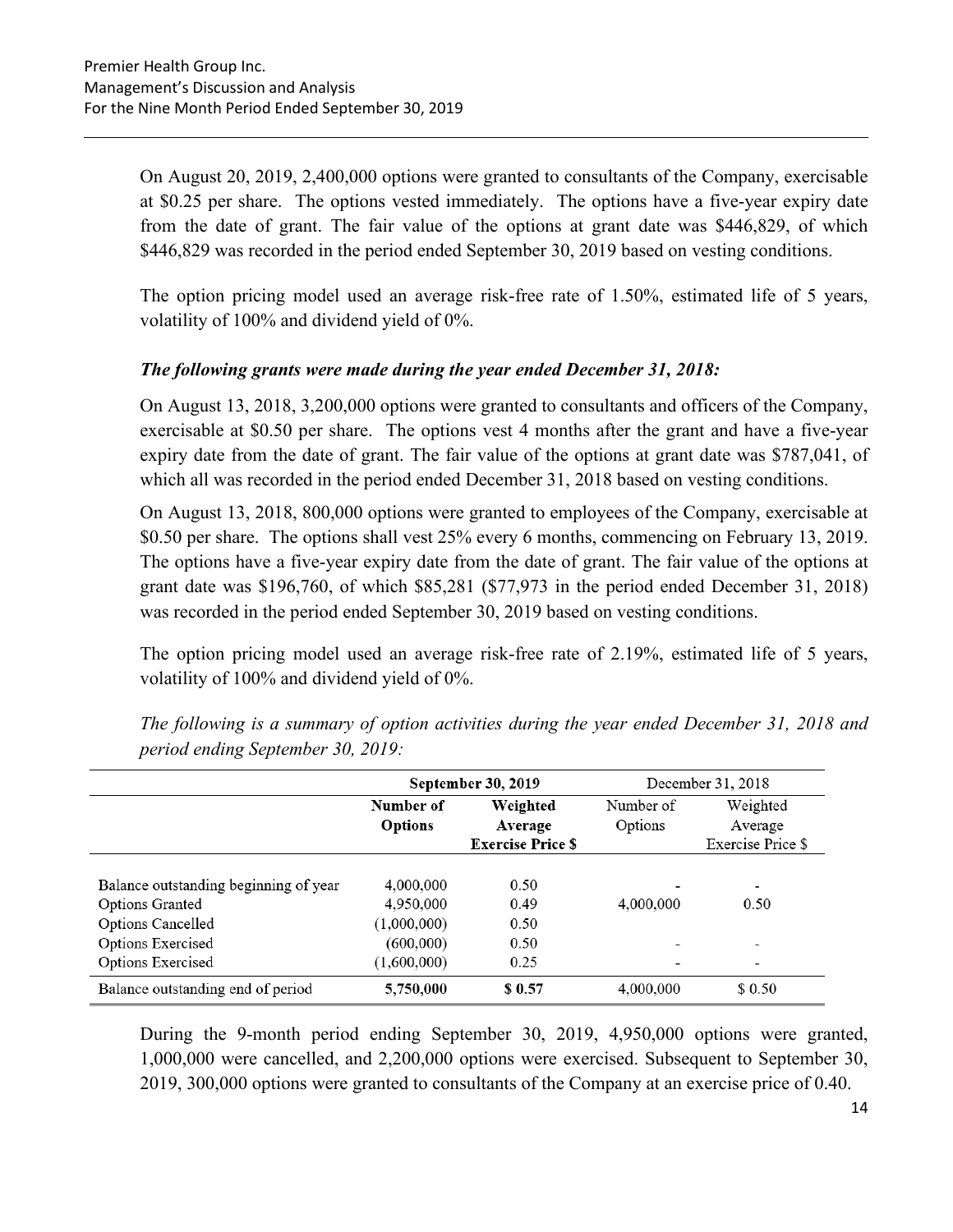On August 20, 2019, 2,400,000 options were granted to consultants of the Company, exercisable at \$0.25 per share. The options vested immediately. The options have a five-year expiry date from the date of grant. The fair value of the options at grant date was \$446,829, of which \$446,829 was recorded in the period ended September 30, 2019 based on vesting conditions.

The option pricing model used an average risk-free rate of 1.50%, estimated life of 5 years, volatility of 100% and dividend yield of 0%.

# *The following grants were made during the year ended December 31, 2018:*

On August 13, 2018, 3,200,000 options were granted to consultants and officers of the Company, exercisable at \$0.50 per share. The options vest 4 months after the grant and have a five-year expiry date from the date of grant. The fair value of the options at grant date was \$787,041, of which all was recorded in the period ended December 31, 2018 based on vesting conditions.

On August 13, 2018, 800,000 options were granted to employees of the Company, exercisable at \$0.50 per share. The options shall vest 25% every 6 months, commencing on February 13, 2019. The options have a five-year expiry date from the date of grant. The fair value of the options at grant date was \$196,760, of which \$85,281 (\$77,973 in the period ended December 31, 2018) was recorded in the period ended September 30, 2019 based on vesting conditions.

The option pricing model used an average risk-free rate of 2.19%, estimated life of 5 years, volatility of 100% and dividend yield of 0%.

|                                       | September 30, 2019 |                          |           | December 31, 2018        |  |
|---------------------------------------|--------------------|--------------------------|-----------|--------------------------|--|
|                                       | Number of          | Weighted                 | Number of | Weighted                 |  |
|                                       | Options            | Average                  | Options   | Average                  |  |
|                                       |                    | <b>Exercise Price \$</b> |           | Exercise Price \$        |  |
|                                       |                    |                          |           |                          |  |
| Balance outstanding beginning of year | 4,000,000          | 0.50                     |           | $\overline{\phantom{a}}$ |  |
| Options Granted                       | 4,950,000          | 0.49                     | 4,000,000 | 0.50                     |  |
| <b>Options Cancelled</b>              | (1,000,000)        | 0.50                     |           |                          |  |
| Options Exercised                     | (600,000)          | 0.50                     | -         | $\overline{\phantom{0}}$ |  |
| Options Exercised                     | (1,600,000)        | 0.25                     |           | -                        |  |
| Balance outstanding end of period     | 5,750,000          | \$ 0.57                  | 4,000,000 | \$ 0.50                  |  |

*The following is a summary of option activities during the year ended December 31, 2018 and period ending September 30, 2019:* 

During the 9-month period ending September 30, 2019, 4,950,000 options were granted, 1,000,000 were cancelled, and 2,200,000 options were exercised. Subsequent to September 30, 2019, 300,000 options were granted to consultants of the Company at an exercise price of 0.40.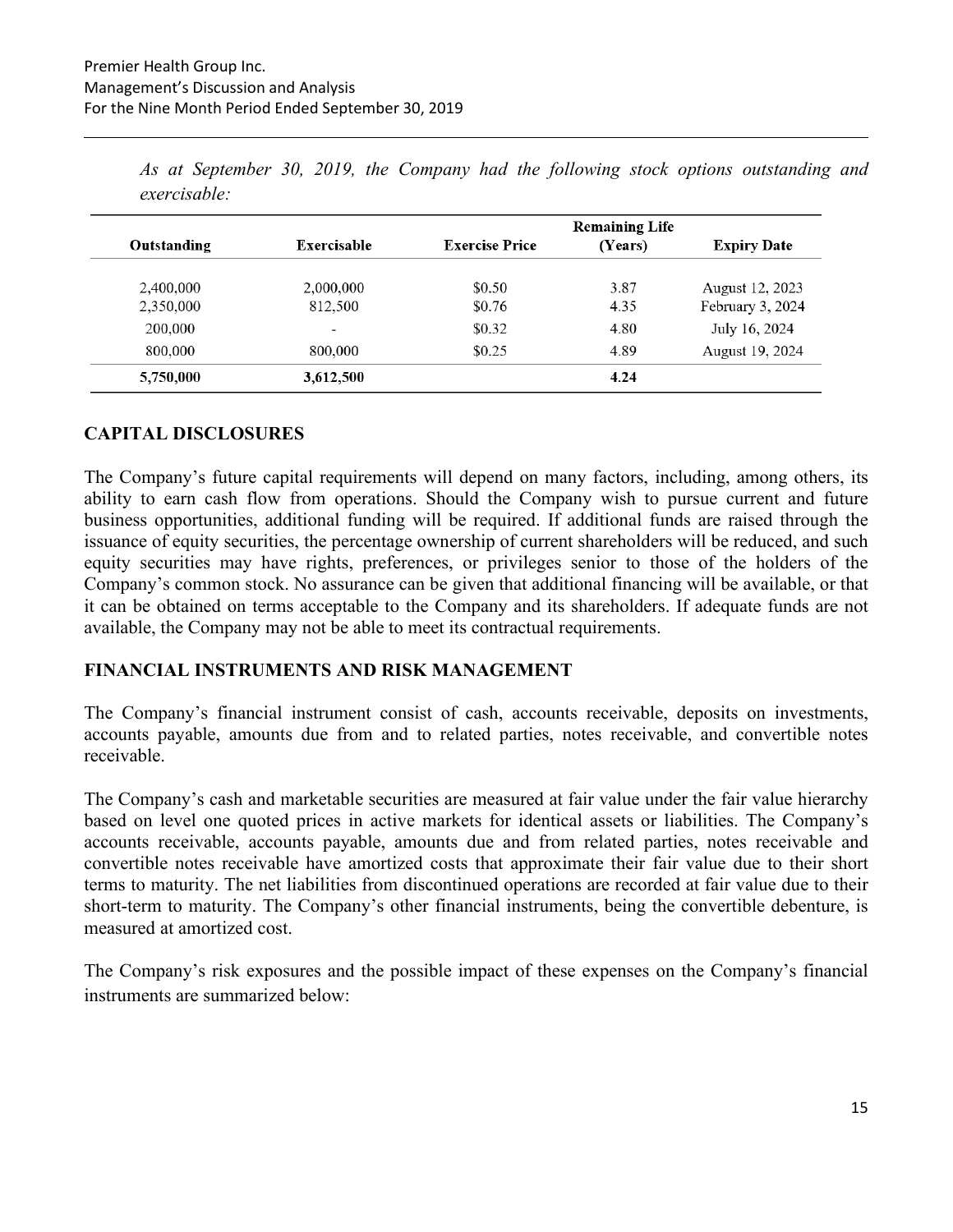|             |             |                       | <b>Remaining Life</b> |                    |  |  |  |
|-------------|-------------|-----------------------|-----------------------|--------------------|--|--|--|
| Outstanding | Exercisable | <b>Exercise Price</b> | (Years)               | <b>Expiry Date</b> |  |  |  |
| 2,400,000   | 2,000,000   | \$0.50                | 3.87                  | August 12, 2023    |  |  |  |
| 2,350,000   | 812,500     | \$0.76                | 4.35                  | February 3, 2024   |  |  |  |
| 200,000     | -           | \$0.32                | 4.80                  | July 16, 2024      |  |  |  |
| 800,000     | 800,000     | \$0.25                | 4.89                  | August 19, 2024    |  |  |  |
| 5,750,000   | 3,612,500   |                       | 4.24                  |                    |  |  |  |

*As at September 30, 2019, the Company had the following stock options outstanding and exercisable:*

#### **CAPITAL DISCLOSURES**

The Company's future capital requirements will depend on many factors, including, among others, its ability to earn cash flow from operations. Should the Company wish to pursue current and future business opportunities, additional funding will be required. If additional funds are raised through the issuance of equity securities, the percentage ownership of current shareholders will be reduced, and such equity securities may have rights, preferences, or privileges senior to those of the holders of the Company's common stock. No assurance can be given that additional financing will be available, or that it can be obtained on terms acceptable to the Company and its shareholders. If adequate funds are not available, the Company may not be able to meet its contractual requirements.

#### **FINANCIAL INSTRUMENTS AND RISK MANAGEMENT**

The Company's financial instrument consist of cash, accounts receivable, deposits on investments, accounts payable, amounts due from and to related parties, notes receivable, and convertible notes receivable.

The Company's cash and marketable securities are measured at fair value under the fair value hierarchy based on level one quoted prices in active markets for identical assets or liabilities. The Company's accounts receivable, accounts payable, amounts due and from related parties, notes receivable and convertible notes receivable have amortized costs that approximate their fair value due to their short terms to maturity. The net liabilities from discontinued operations are recorded at fair value due to their short-term to maturity. The Company's other financial instruments, being the convertible debenture, is measured at amortized cost.

The Company's risk exposures and the possible impact of these expenses on the Company's financial instruments are summarized below: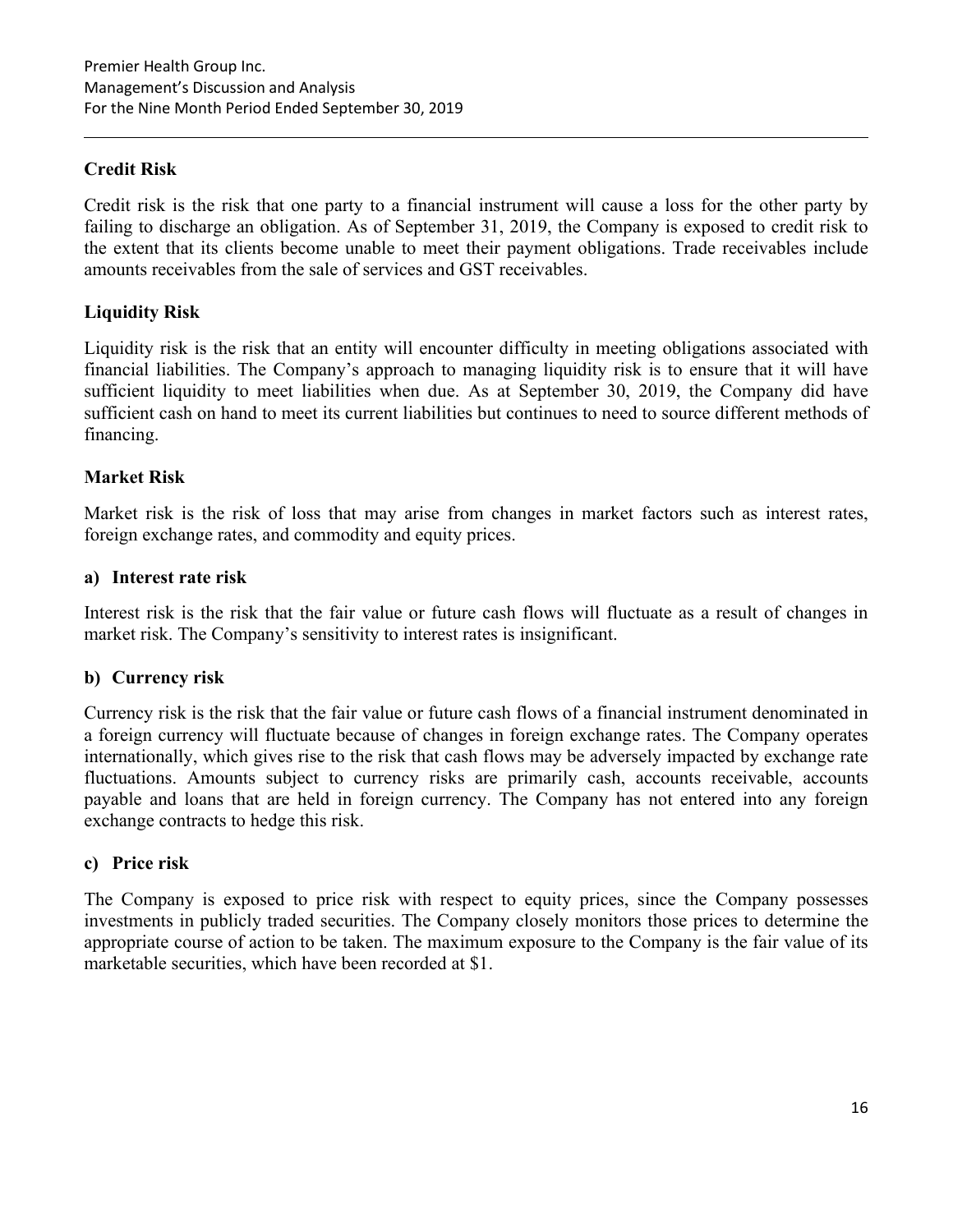# **Credit Risk**

Credit risk is the risk that one party to a financial instrument will cause a loss for the other party by failing to discharge an obligation. As of September 31, 2019, the Company is exposed to credit risk to the extent that its clients become unable to meet their payment obligations. Trade receivables include amounts receivables from the sale of services and GST receivables.

# **Liquidity Risk**

Liquidity risk is the risk that an entity will encounter difficulty in meeting obligations associated with financial liabilities. The Company's approach to managing liquidity risk is to ensure that it will have sufficient liquidity to meet liabilities when due. As at September 30, 2019, the Company did have sufficient cash on hand to meet its current liabilities but continues to need to source different methods of financing.

#### **Market Risk**

Market risk is the risk of loss that may arise from changes in market factors such as interest rates, foreign exchange rates, and commodity and equity prices.

#### **a) Interest rate risk**

Interest risk is the risk that the fair value or future cash flows will fluctuate as a result of changes in market risk. The Company's sensitivity to interest rates is insignificant.

# **b) Currency risk**

Currency risk is the risk that the fair value or future cash flows of a financial instrument denominated in a foreign currency will fluctuate because of changes in foreign exchange rates. The Company operates internationally, which gives rise to the risk that cash flows may be adversely impacted by exchange rate fluctuations. Amounts subject to currency risks are primarily cash, accounts receivable, accounts payable and loans that are held in foreign currency. The Company has not entered into any foreign exchange contracts to hedge this risk.

#### **c) Price risk**

The Company is exposed to price risk with respect to equity prices, since the Company possesses investments in publicly traded securities. The Company closely monitors those prices to determine the appropriate course of action to be taken. The maximum exposure to the Company is the fair value of its marketable securities, which have been recorded at \$1.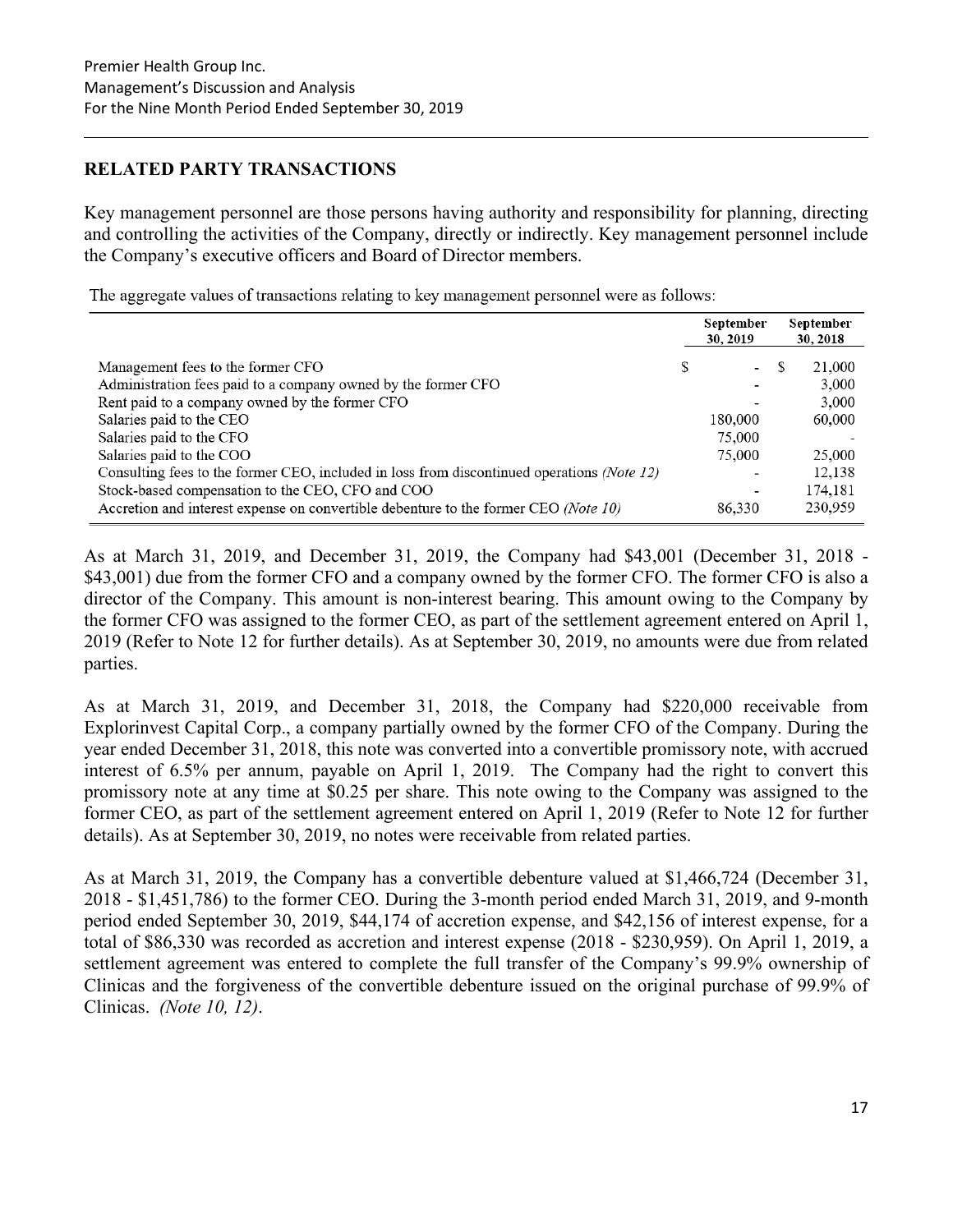# **RELATED PARTY TRANSACTIONS**

Key management personnel are those persons having authority and responsibility for planning, directing and controlling the activities of the Company, directly or indirectly. Key management personnel include the Company's executive officers and Board of Director members.

The aggregate values of transactions relating to key management personnel were as follows:

|                                                                                                                                                                                                                                                                                                                                                                                            |   | September<br>30, 2019                                                                         |    | September<br>30, 2018                                             |
|--------------------------------------------------------------------------------------------------------------------------------------------------------------------------------------------------------------------------------------------------------------------------------------------------------------------------------------------------------------------------------------------|---|-----------------------------------------------------------------------------------------------|----|-------------------------------------------------------------------|
| Management fees to the former CFO<br>Administration fees paid to a company owned by the former CFO<br>Rent paid to a company owned by the former CFO<br>Salaries paid to the CEO<br>Salaries paid to the CFO<br>Salaries paid to the COO<br>Consulting fees to the former CEO, included in loss from discontinued operations (Note 12)<br>Stock-based compensation to the CEO, CFO and COO | S | $\overline{\phantom{a}}$<br>٠<br>180,000<br>75,000<br>75,000<br>-<br>$\overline{\phantom{0}}$ | -S | 21,000<br>3,000<br>3,000<br>60,000<br>25,000<br>12,138<br>174,181 |
| Accretion and interest expense on convertible debenture to the former CEO (Note 10)                                                                                                                                                                                                                                                                                                        |   | 86,330                                                                                        |    | 230,959                                                           |

As at March 31, 2019, and December 31, 2019, the Company had \$43,001 (December 31, 2018 - \$43,001) due from the former CFO and a company owned by the former CFO. The former CFO is also a director of the Company. This amount is non-interest bearing. This amount owing to the Company by the former CFO was assigned to the former CEO, as part of the settlement agreement entered on April 1, 2019 (Refer to Note 12 for further details). As at September 30, 2019, no amounts were due from related parties.

As at March 31, 2019, and December 31, 2018, the Company had \$220,000 receivable from Explorinvest Capital Corp., a company partially owned by the former CFO of the Company. During the year ended December 31, 2018, this note was converted into a convertible promissory note, with accrued interest of 6.5% per annum, payable on April 1, 2019. The Company had the right to convert this promissory note at any time at \$0.25 per share. This note owing to the Company was assigned to the former CEO, as part of the settlement agreement entered on April 1, 2019 (Refer to Note 12 for further details). As at September 30, 2019, no notes were receivable from related parties.

As at March 31, 2019, the Company has a convertible debenture valued at \$1,466,724 (December 31, 2018 - \$1,451,786) to the former CEO. During the 3-month period ended March 31, 2019, and 9-month period ended September 30, 2019, \$44,174 of accretion expense, and \$42,156 of interest expense, for a total of \$86,330 was recorded as accretion and interest expense (2018 - \$230,959). On April 1, 2019, a settlement agreement was entered to complete the full transfer of the Company's 99.9% ownership of Clinicas and the forgiveness of the convertible debenture issued on the original purchase of 99.9% of Clinicas. *(Note 10, 12)*.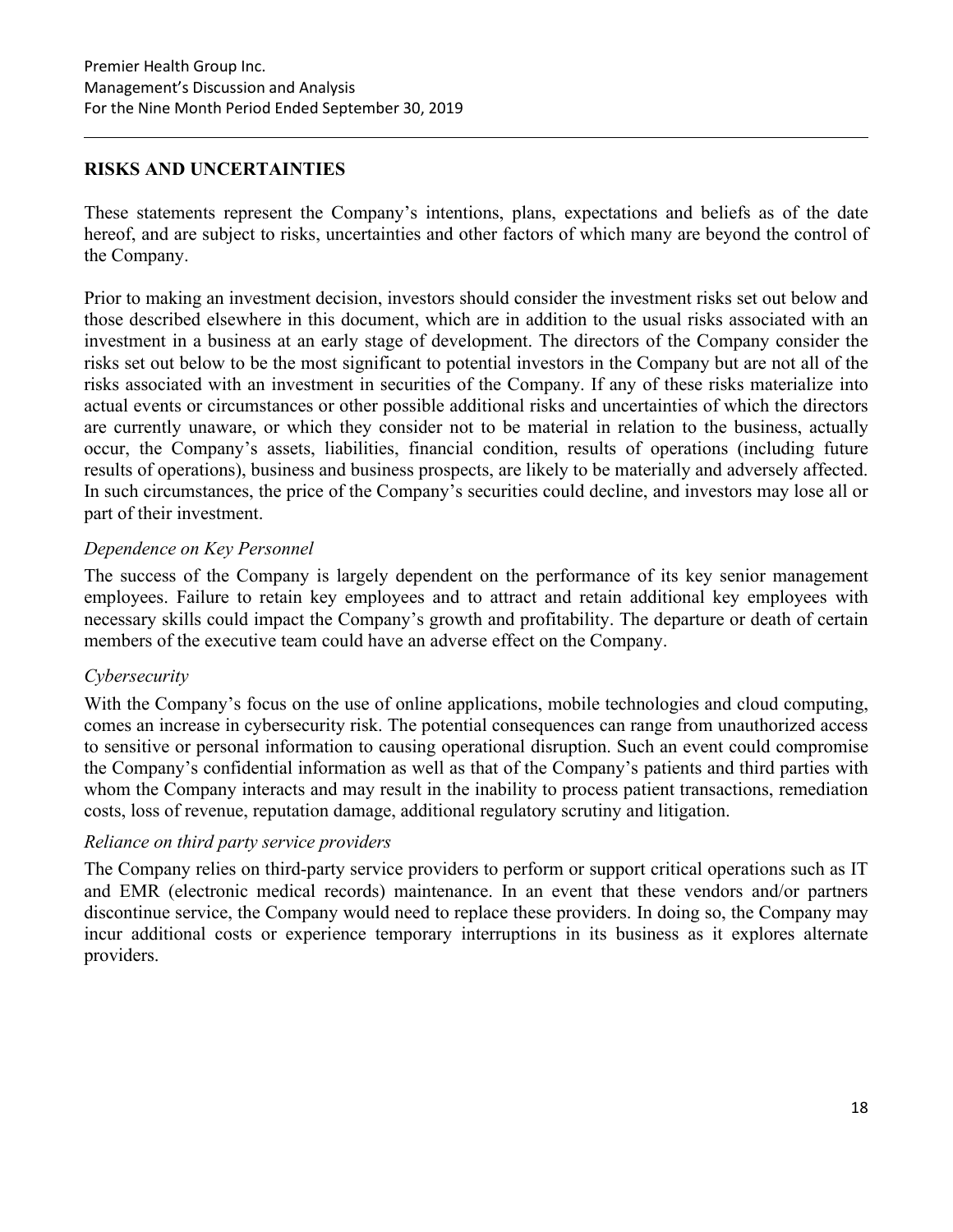# **RISKS AND UNCERTAINTIES**

These statements represent the Company's intentions, plans, expectations and beliefs as of the date hereof, and are subject to risks, uncertainties and other factors of which many are beyond the control of the Company.

Prior to making an investment decision, investors should consider the investment risks set out below and those described elsewhere in this document, which are in addition to the usual risks associated with an investment in a business at an early stage of development. The directors of the Company consider the risks set out below to be the most significant to potential investors in the Company but are not all of the risks associated with an investment in securities of the Company. If any of these risks materialize into actual events or circumstances or other possible additional risks and uncertainties of which the directors are currently unaware, or which they consider not to be material in relation to the business, actually occur, the Company's assets, liabilities, financial condition, results of operations (including future results of operations), business and business prospects, are likely to be materially and adversely affected. In such circumstances, the price of the Company's securities could decline, and investors may lose all or part of their investment.

# *Dependence on Key Personnel*

The success of the Company is largely dependent on the performance of its key senior management employees. Failure to retain key employees and to attract and retain additional key employees with necessary skills could impact the Company's growth and profitability. The departure or death of certain members of the executive team could have an adverse effect on the Company.

# *Cybersecurity*

With the Company's focus on the use of online applications, mobile technologies and cloud computing, comes an increase in cybersecurity risk. The potential consequences can range from unauthorized access to sensitive or personal information to causing operational disruption. Such an event could compromise the Company's confidential information as well as that of the Company's patients and third parties with whom the Company interacts and may result in the inability to process patient transactions, remediation costs, loss of revenue, reputation damage, additional regulatory scrutiny and litigation.

# *Reliance on third party service providers*

The Company relies on third-party service providers to perform or support critical operations such as IT and EMR (electronic medical records) maintenance. In an event that these vendors and/or partners discontinue service, the Company would need to replace these providers. In doing so, the Company may incur additional costs or experience temporary interruptions in its business as it explores alternate providers.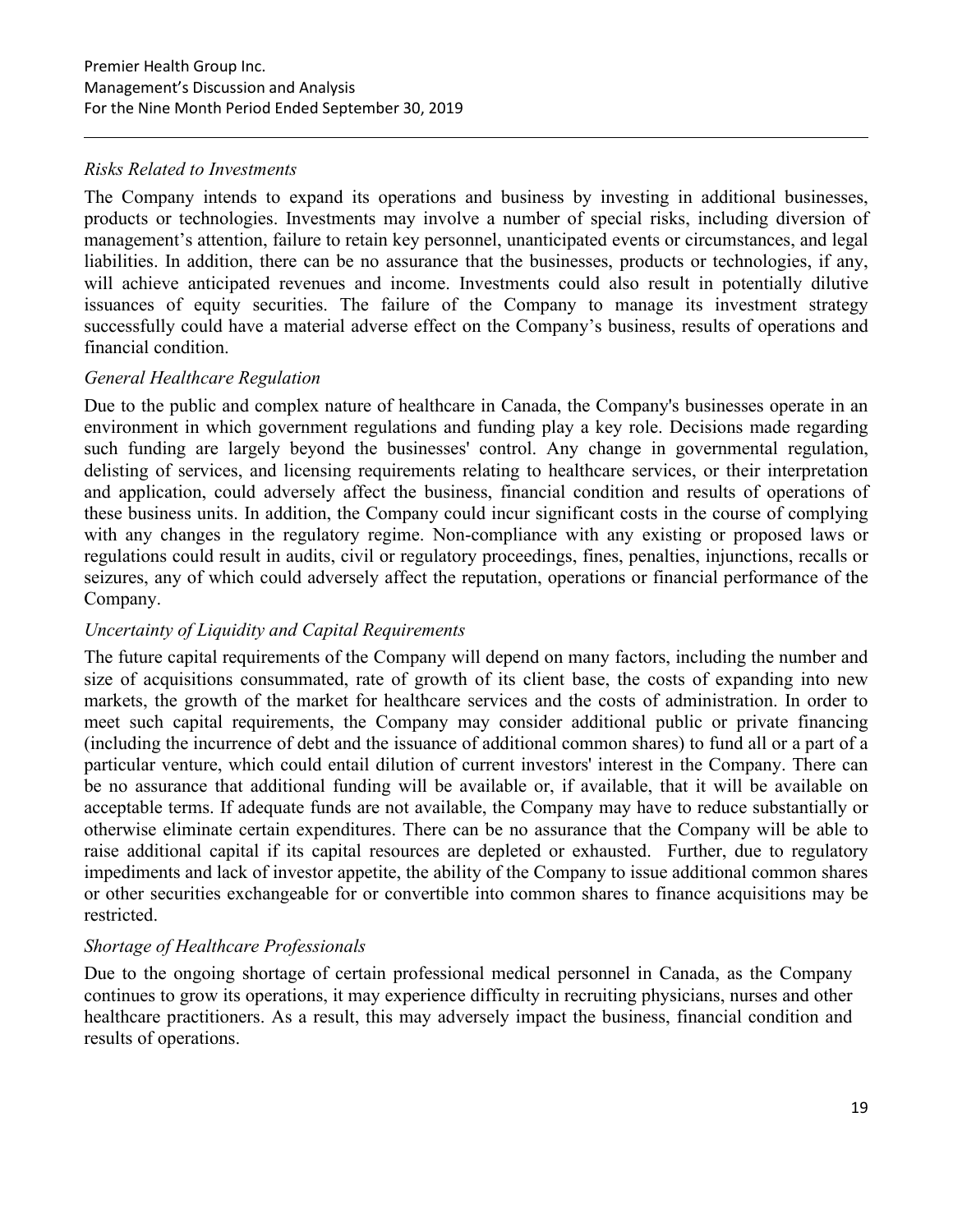# *Risks Related to Investments*

The Company intends to expand its operations and business by investing in additional businesses, products or technologies. Investments may involve a number of special risks, including diversion of management's attention, failure to retain key personnel, unanticipated events or circumstances, and legal liabilities. In addition, there can be no assurance that the businesses, products or technologies, if any, will achieve anticipated revenues and income. Investments could also result in potentially dilutive issuances of equity securities. The failure of the Company to manage its investment strategy successfully could have a material adverse effect on the Company's business, results of operations and financial condition.

# *General Healthcare Regulation*

Due to the public and complex nature of healthcare in Canada, the Company's businesses operate in an environment in which government regulations and funding play a key role. Decisions made regarding such funding are largely beyond the businesses' control. Any change in governmental regulation, delisting of services, and licensing requirements relating to healthcare services, or their interpretation and application, could adversely affect the business, financial condition and results of operations of these business units. In addition, the Company could incur significant costs in the course of complying with any changes in the regulatory regime. Non-compliance with any existing or proposed laws or regulations could result in audits, civil or regulatory proceedings, fines, penalties, injunctions, recalls or seizures, any of which could adversely affect the reputation, operations or financial performance of the Company.

# *Uncertainty of Liquidity and Capital Requirements*

The future capital requirements of the Company will depend on many factors, including the number and size of acquisitions consummated, rate of growth of its client base, the costs of expanding into new markets, the growth of the market for healthcare services and the costs of administration. In order to meet such capital requirements, the Company may consider additional public or private financing (including the incurrence of debt and the issuance of additional common shares) to fund all or a part of a particular venture, which could entail dilution of current investors' interest in the Company. There can be no assurance that additional funding will be available or, if available, that it will be available on acceptable terms. If adequate funds are not available, the Company may have to reduce substantially or otherwise eliminate certain expenditures. There can be no assurance that the Company will be able to raise additional capital if its capital resources are depleted or exhausted. Further, due to regulatory impediments and lack of investor appetite, the ability of the Company to issue additional common shares or other securities exchangeable for or convertible into common shares to finance acquisitions may be restricted.

# *Shortage of Healthcare Professionals*

Due to the ongoing shortage of certain professional medical personnel in Canada, as the Company continues to grow its operations, it may experience difficulty in recruiting physicians, nurses and other healthcare practitioners. As a result, this may adversely impact the business, financial condition and results of operations.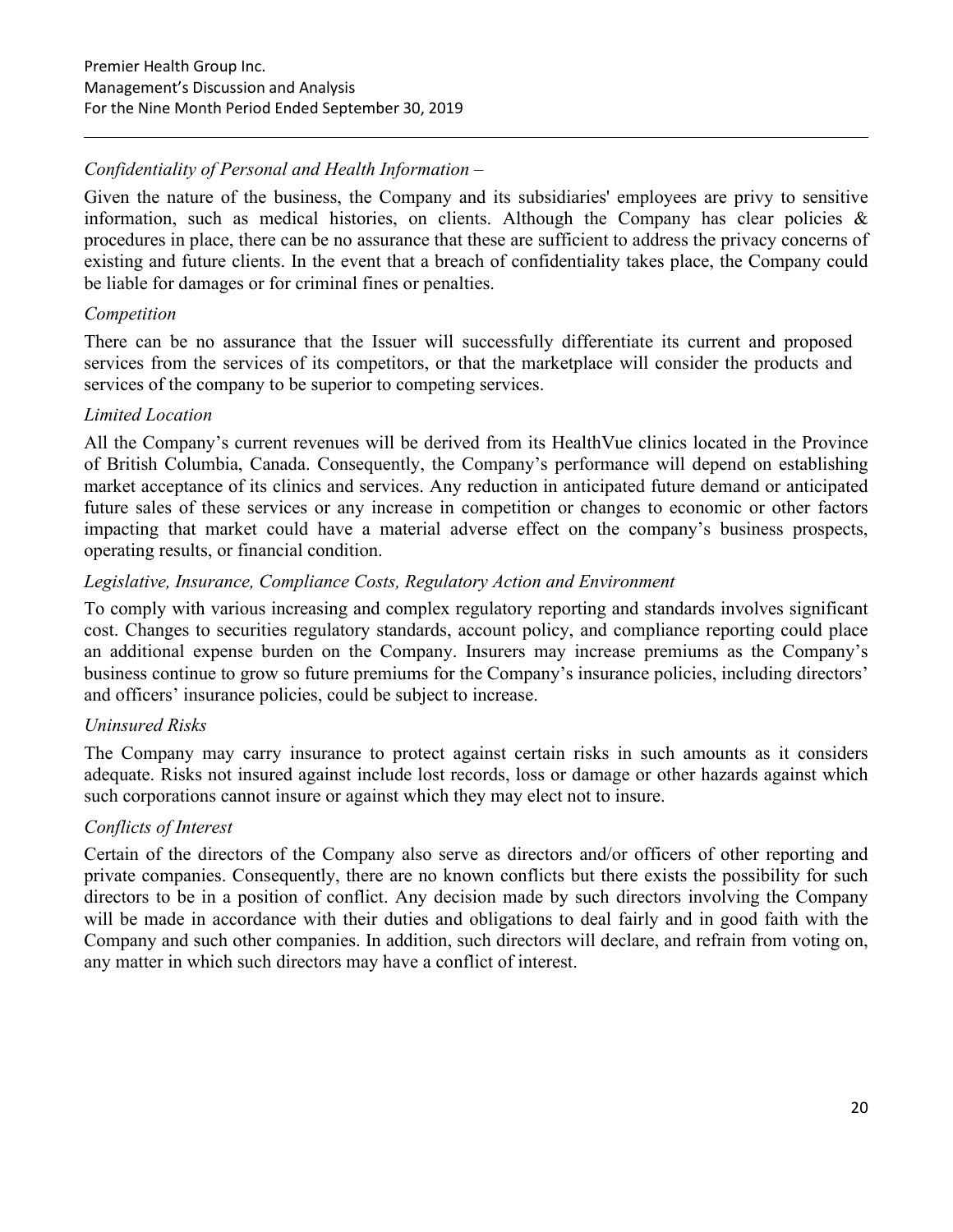# *Confidentiality of Personal and Health Information –*

Given the nature of the business, the Company and its subsidiaries' employees are privy to sensitive information, such as medical histories, on clients. Although the Company has clear policies  $\&$ procedures in place, there can be no assurance that these are sufficient to address the privacy concerns of existing and future clients. In the event that a breach of confidentiality takes place, the Company could be liable for damages or for criminal fines or penalties.

# *Competition*

There can be no assurance that the Issuer will successfully differentiate its current and proposed services from the services of its competitors, or that the marketplace will consider the products and services of the company to be superior to competing services.

#### *Limited Location*

All the Company's current revenues will be derived from its HealthVue clinics located in the Province of British Columbia, Canada. Consequently, the Company's performance will depend on establishing market acceptance of its clinics and services. Any reduction in anticipated future demand or anticipated future sales of these services or any increase in competition or changes to economic or other factors impacting that market could have a material adverse effect on the company's business prospects, operating results, or financial condition.

#### *Legislative, Insurance, Compliance Costs, Regulatory Action and Environment*

To comply with various increasing and complex regulatory reporting and standards involves significant cost. Changes to securities regulatory standards, account policy, and compliance reporting could place an additional expense burden on the Company. Insurers may increase premiums as the Company's business continue to grow so future premiums for the Company's insurance policies, including directors' and officers' insurance policies, could be subject to increase.

# *Uninsured Risks*

The Company may carry insurance to protect against certain risks in such amounts as it considers adequate. Risks not insured against include lost records, loss or damage or other hazards against which such corporations cannot insure or against which they may elect not to insure.

# *Conflicts of Interest*

Certain of the directors of the Company also serve as directors and/or officers of other reporting and private companies. Consequently, there are no known conflicts but there exists the possibility for such directors to be in a position of conflict. Any decision made by such directors involving the Company will be made in accordance with their duties and obligations to deal fairly and in good faith with the Company and such other companies. In addition, such directors will declare, and refrain from voting on, any matter in which such directors may have a conflict of interest.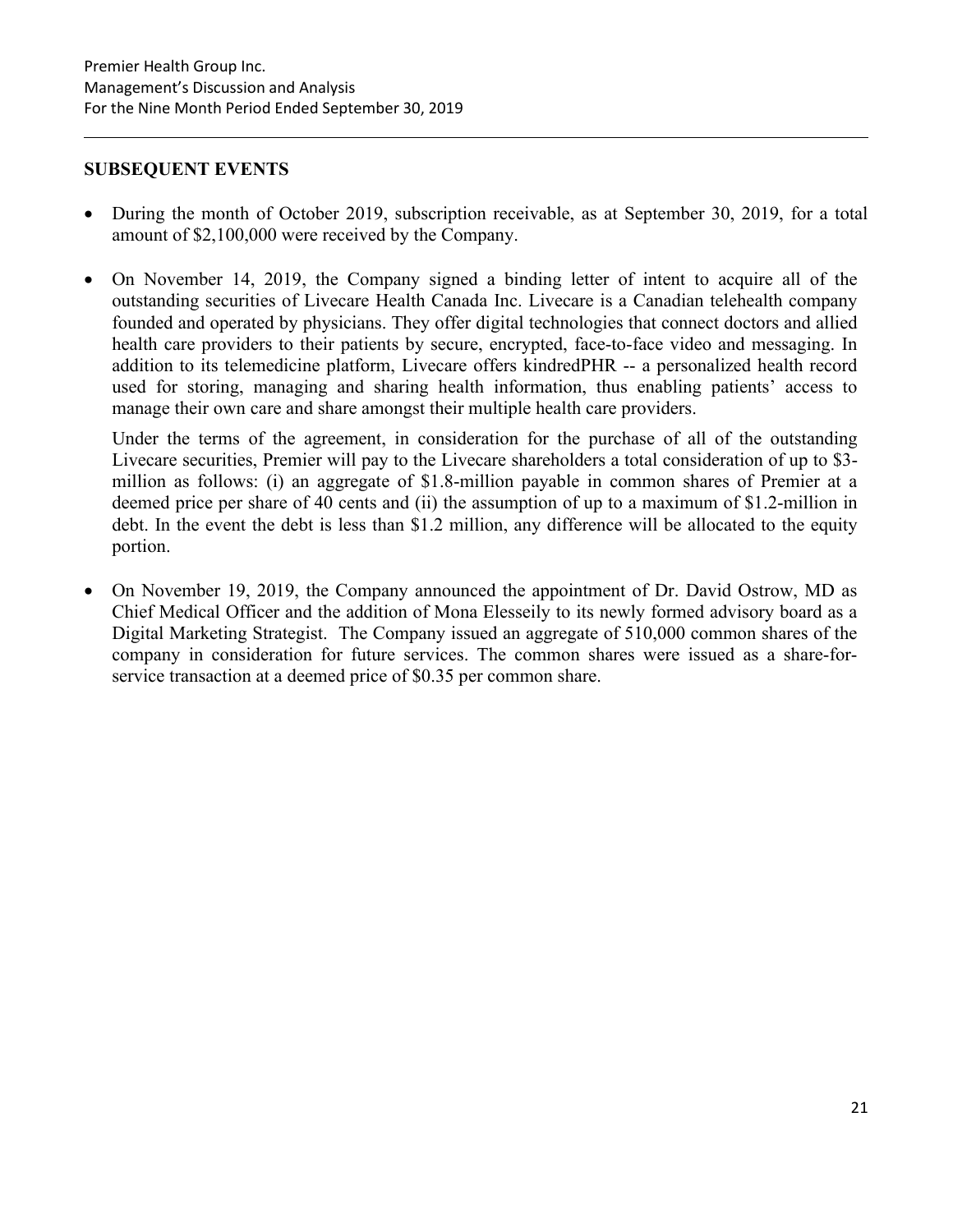#### **SUBSEQUENT EVENTS**

- During the month of October 2019, subscription receivable, as at September 30, 2019, for a total amount of \$2,100,000 were received by the Company.
- On November 14, 2019, the Company signed a binding letter of intent to acquire all of the outstanding securities of Livecare Health Canada Inc. Livecare is a Canadian telehealth company founded and operated by physicians. They offer digital technologies that connect doctors and allied health care providers to their patients by secure, encrypted, face-to-face video and messaging. In addition to its telemedicine platform, Livecare offers kindredPHR -- a personalized health record used for storing, managing and sharing health information, thus enabling patients' access to manage their own care and share amongst their multiple health care providers.

Under the terms of the agreement, in consideration for the purchase of all of the outstanding Livecare securities, Premier will pay to the Livecare shareholders a total consideration of up to \$3 million as follows: (i) an aggregate of \$1.8-million payable in common shares of Premier at a deemed price per share of 40 cents and (ii) the assumption of up to a maximum of \$1.2-million in debt. In the event the debt is less than \$1.2 million, any difference will be allocated to the equity portion.

• On November 19, 2019, the Company announced the appointment of Dr. David Ostrow, MD as Chief Medical Officer and the addition of Mona Elesseily to its newly formed advisory board as a Digital Marketing Strategist. The Company issued an aggregate of 510,000 common shares of the company in consideration for future services. The common shares were issued as a share-forservice transaction at a deemed price of \$0.35 per common share.